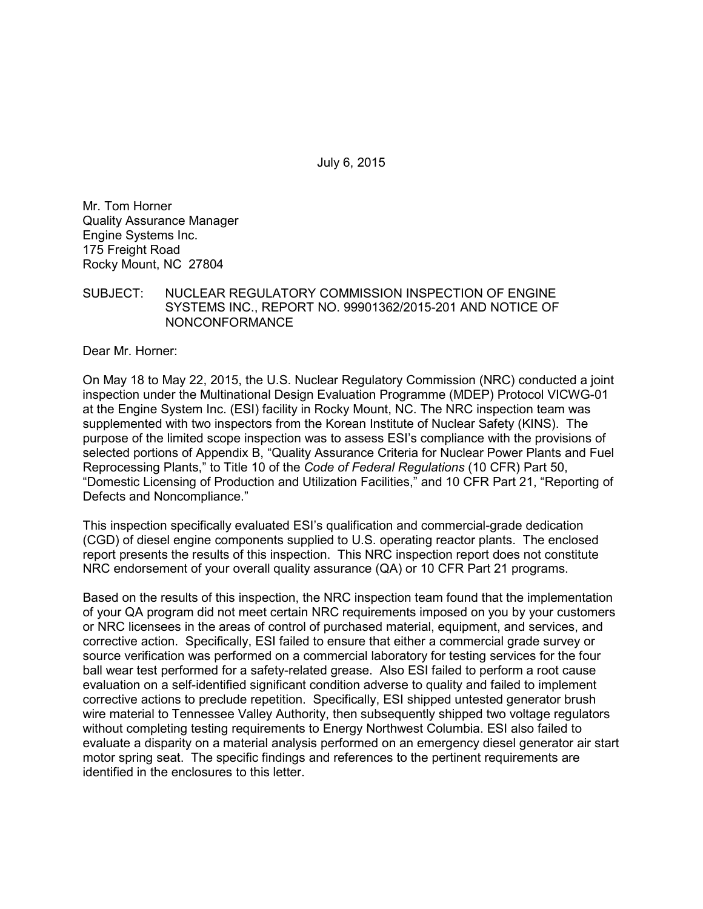July 6, 2015

Mr. Tom Horner Quality Assurance Manager Engine Systems Inc. 175 Freight Road Rocky Mount, NC 27804

SUBJECT: NUCLEAR REGULATORY COMMISSION INSPECTION OF ENGINE SYSTEMS INC., REPORT NO. 99901362/2015-201 AND NOTICE OF NONCONFORMANCE

Dear Mr. Horner:

On May 18 to May 22, 2015, the U.S. Nuclear Regulatory Commission (NRC) conducted a joint inspection under the Multinational Design Evaluation Programme (MDEP) Protocol VICWG-01 at the Engine System Inc. (ESI) facility in Rocky Mount, NC. The NRC inspection team was supplemented with two inspectors from the Korean Institute of Nuclear Safety (KINS). The purpose of the limited scope inspection was to assess ESI's compliance with the provisions of selected portions of Appendix B, "Quality Assurance Criteria for Nuclear Power Plants and Fuel Reprocessing Plants," to Title 10 of the *Code of Federal Regulations* (10 CFR) Part 50, "Domestic Licensing of Production and Utilization Facilities," and 10 CFR Part 21, "Reporting of Defects and Noncompliance."

This inspection specifically evaluated ESI's qualification and commercial-grade dedication (CGD) of diesel engine components supplied to U.S. operating reactor plants. The enclosed report presents the results of this inspection. This NRC inspection report does not constitute NRC endorsement of your overall quality assurance (QA) or 10 CFR Part 21 programs.

Based on the results of this inspection, the NRC inspection team found that the implementation of your QA program did not meet certain NRC requirements imposed on you by your customers or NRC licensees in the areas of control of purchased material, equipment, and services, and corrective action. Specifically, ESI failed to ensure that either a commercial grade survey or source verification was performed on a commercial laboratory for testing services for the four ball wear test performed for a safety-related grease. Also ESI failed to perform a root cause evaluation on a self-identified significant condition adverse to quality and failed to implement corrective actions to preclude repetition. Specifically, ESI shipped untested generator brush wire material to Tennessee Valley Authority, then subsequently shipped two voltage regulators without completing testing requirements to Energy Northwest Columbia. ESI also failed to evaluate a disparity on a material analysis performed on an emergency diesel generator air start motor spring seat. The specific findings and references to the pertinent requirements are identified in the enclosures to this letter.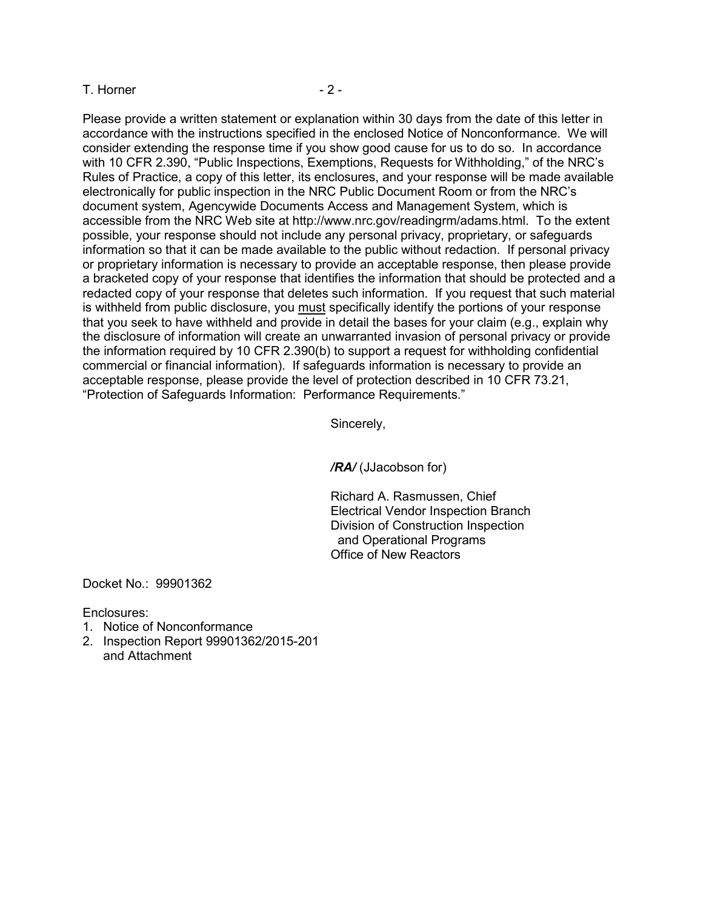#### $T.$  Horner  $-2-$

Please provide a written statement or explanation within 30 days from the date of this letter in accordance with the instructions specified in the enclosed Notice of Nonconformance. We will consider extending the response time if you show good cause for us to do so. In accordance with 10 CFR 2.390, "Public Inspections, Exemptions, Requests for Withholding," of the NRC's Rules of Practice, a copy of this letter, its enclosures, and your response will be made available electronically for public inspection in the NRC Public Document Room or from the NRC's document system, Agencywide Documents Access and Management System, which is accessible from the NRC Web site at http://www.nrc.gov/readingrm/adams.html. To the extent possible, your response should not include any personal privacy, proprietary, or safeguards information so that it can be made available to the public without redaction. If personal privacy or proprietary information is necessary to provide an acceptable response, then please provide a bracketed copy of your response that identifies the information that should be protected and a redacted copy of your response that deletes such information. If you request that such material is withheld from public disclosure, you must specifically identify the portions of your response that you seek to have withheld and provide in detail the bases for your claim (e.g., explain why the disclosure of information will create an unwarranted invasion of personal privacy or provide the information required by 10 CFR 2.390(b) to support a request for withholding confidential commercial or financial information). If safeguards information is necessary to provide an acceptable response, please provide the level of protection described in 10 CFR 73.21, "Protection of Safeguards Information: Performance Requirements."

Sincerely,

*/RA/* (JJacobson for)

Richard A. Rasmussen, Chief Electrical Vendor Inspection Branch Division of Construction Inspection and Operational Programs Office of New Reactors

Docket No.: 99901362

Enclosures:

- 1. Notice of Nonconformance
- 2. Inspection Report 99901362/2015-201 and Attachment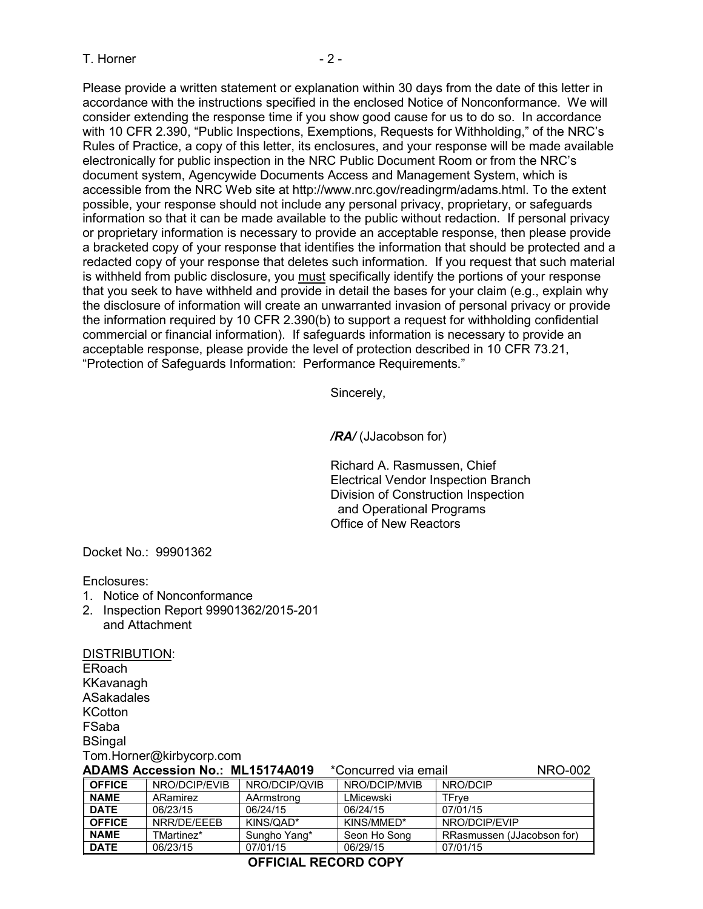#### $T.$  Horner  $-2-$

Please provide a written statement or explanation within 30 days from the date of this letter in accordance with the instructions specified in the enclosed Notice of Nonconformance. We will consider extending the response time if you show good cause for us to do so. In accordance with 10 CFR 2.390, "Public Inspections, Exemptions, Requests for Withholding," of the NRC's Rules of Practice, a copy of this letter, its enclosures, and your response will be made available electronically for public inspection in the NRC Public Document Room or from the NRC's document system, Agencywide Documents Access and Management System, which is accessible from the NRC Web site at http://www.nrc.gov/readingrm/adams.html. To the extent possible, your response should not include any personal privacy, proprietary, or safeguards information so that it can be made available to the public without redaction. If personal privacy or proprietary information is necessary to provide an acceptable response, then please provide a bracketed copy of your response that identifies the information that should be protected and a redacted copy of your response that deletes such information. If you request that such material is withheld from public disclosure, you must specifically identify the portions of your response that you seek to have withheld and provide in detail the bases for your claim (e.g., explain why the disclosure of information will create an unwarranted invasion of personal privacy or provide the information required by 10 CFR 2.390(b) to support a request for withholding confidential commercial or financial information). If safeguards information is necessary to provide an acceptable response, please provide the level of protection described in 10 CFR 73.21, "Protection of Safeguards Information: Performance Requirements."

Sincerely,

*/RA/* (JJacobson for)

Richard A. Rasmussen, Chief Electrical Vendor Inspection Branch Division of Construction Inspection and Operational Programs Office of New Reactors

Docket No.: 99901362

Enclosures:

- 1. Notice of Nonconformance
- 2. Inspection Report 99901362/2015-201 and Attachment

DISTRIBUTION:

ERoach **KKavanagh** ASakadales **KCotton** FSaba **BSingal** Tom.Horner@kirbycorp.com

| <b>ADAMS Accession No.: ML15174A019</b> *Concurred via email |  | <b>NRO-002</b> |
|--------------------------------------------------------------|--|----------------|
|--------------------------------------------------------------|--|----------------|

|                              | NRO/DCIP/EVIB<br>NRO/DCIP/QVIB | NRO/DCIP/MVIB | NRO/DCIP                   |
|------------------------------|--------------------------------|---------------|----------------------------|
| <b>NAME</b><br>ARamirez      | AArmstrong                     | LMicewski     | TFrve                      |
| <b>DATE</b><br>06/23/15      | 06/24/15                       | 06/24/15      | 07/01/15                   |
| <b>OFFICE</b><br>NRR/DF/FFFB | KINS/QAD*                      | KINS/MMFD*    | NRO/DCIP/FVIP              |
| <b>NAME</b><br>TMartinez*    | Sungho Yang*                   | Seon Ho Song  | RRasmussen (JJacobson for) |
| <b>DATE</b><br>06/23/15      | 07/01/15                       | 06/29/15      | 07/01/15                   |

#### **OFFICIAL RECORD COPY**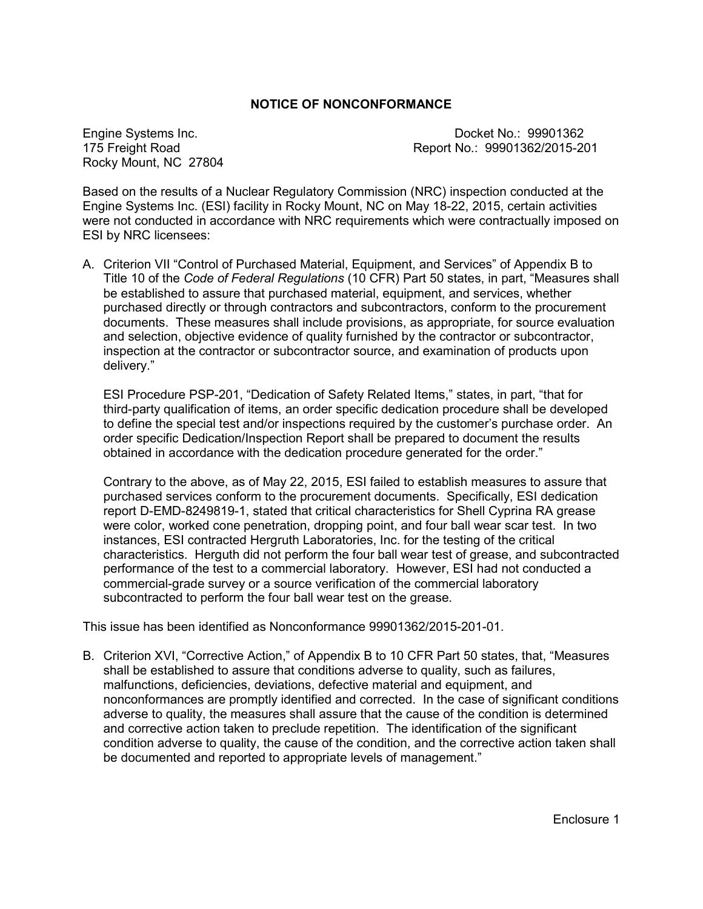#### **NOTICE OF NONCONFORMANCE**

Rocky Mount, NC 27804

Engine Systems Inc. **Docket No.: 99901362** 175 Freight Road Report No.: 99901362/2015-201

Based on the results of a Nuclear Regulatory Commission (NRC) inspection conducted at the Engine Systems Inc. (ESI) facility in Rocky Mount, NC on May 18-22, 2015, certain activities were not conducted in accordance with NRC requirements which were contractually imposed on ESI by NRC licensees:

A. Criterion VII "Control of Purchased Material, Equipment, and Services" of Appendix B to Title 10 of the *Code of Federal Regulations* (10 CFR) Part 50 states, in part, "Measures shall be established to assure that purchased material, equipment, and services, whether purchased directly or through contractors and subcontractors, conform to the procurement documents. These measures shall include provisions, as appropriate, for source evaluation and selection, objective evidence of quality furnished by the contractor or subcontractor, inspection at the contractor or subcontractor source, and examination of products upon delivery."

ESI Procedure PSP-201, "Dedication of Safety Related Items," states, in part, "that for third-party qualification of items, an order specific dedication procedure shall be developed to define the special test and/or inspections required by the customer's purchase order. An order specific Dedication/Inspection Report shall be prepared to document the results obtained in accordance with the dedication procedure generated for the order."

Contrary to the above, as of May 22, 2015, ESI failed to establish measures to assure that purchased services conform to the procurement documents. Specifically, ESI dedication report D-EMD-8249819-1, stated that critical characteristics for Shell Cyprina RA grease were color, worked cone penetration, dropping point, and four ball wear scar test. In two instances, ESI contracted Hergruth Laboratories, Inc. for the testing of the critical characteristics. Herguth did not perform the four ball wear test of grease, and subcontracted performance of the test to a commercial laboratory. However, ESI had not conducted a commercial-grade survey or a source verification of the commercial laboratory subcontracted to perform the four ball wear test on the grease.

This issue has been identified as Nonconformance 99901362/2015-201-01.

B. Criterion XVI, "Corrective Action," of Appendix B to 10 CFR Part 50 states, that, "Measures shall be established to assure that conditions adverse to quality, such as failures, malfunctions, deficiencies, deviations, defective material and equipment, and nonconformances are promptly identified and corrected. In the case of significant conditions adverse to quality, the measures shall assure that the cause of the condition is determined and corrective action taken to preclude repetition. The identification of the significant condition adverse to quality, the cause of the condition, and the corrective action taken shall be documented and reported to appropriate levels of management."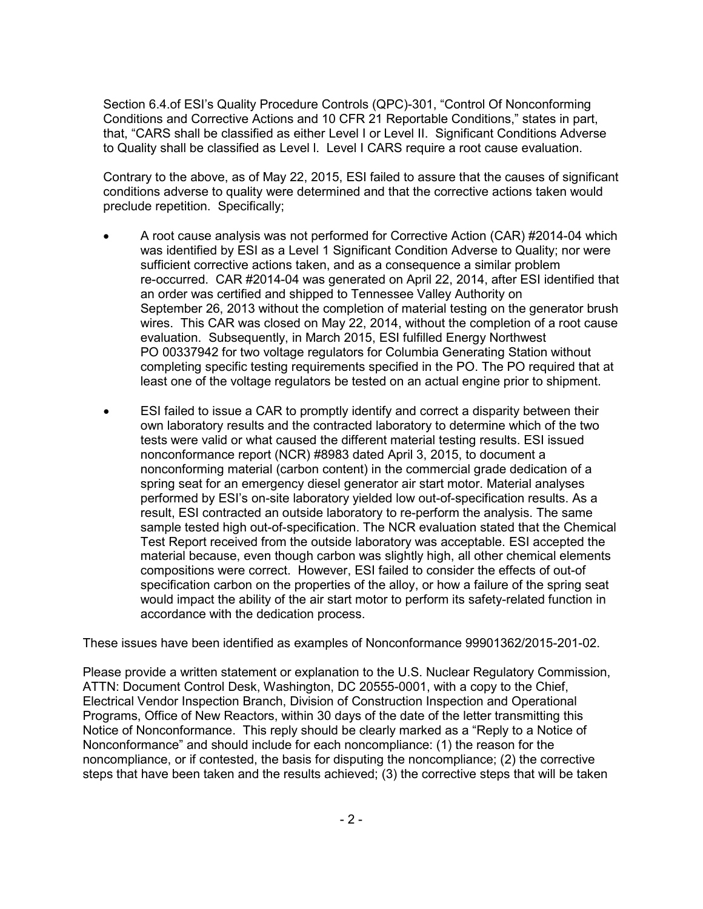Section 6.4.of ESI's Quality Procedure Controls (QPC)-301, "Control Of Nonconforming Conditions and Corrective Actions and 10 CFR 21 Reportable Conditions," states in part, that, "CARS shall be classified as either Level I or Level II. Significant Conditions Adverse to Quality shall be classified as Level l. Level I CARS require a root cause evaluation.

Contrary to the above, as of May 22, 2015, ESI failed to assure that the causes of significant conditions adverse to quality were determined and that the corrective actions taken would preclude repetition. Specifically;

- A root cause analysis was not performed for Corrective Action (CAR) #2014-04 which was identified by ESI as a Level 1 Significant Condition Adverse to Quality; nor were sufficient corrective actions taken, and as a consequence a similar problem re-occurred. CAR #2014-04 was generated on April 22, 2014, after ESI identified that an order was certified and shipped to Tennessee Valley Authority on September 26, 2013 without the completion of material testing on the generator brush wires. This CAR was closed on May 22, 2014, without the completion of a root cause evaluation. Subsequently, in March 2015, ESI fulfilled Energy Northwest PO 00337942 for two voltage regulators for Columbia Generating Station without completing specific testing requirements specified in the PO. The PO required that at least one of the voltage regulators be tested on an actual engine prior to shipment.
- ESI failed to issue a CAR to promptly identify and correct a disparity between their own laboratory results and the contracted laboratory to determine which of the two tests were valid or what caused the different material testing results. ESI issued nonconformance report (NCR) #8983 dated April 3, 2015, to document a nonconforming material (carbon content) in the commercial grade dedication of a spring seat for an emergency diesel generator air start motor. Material analyses performed by ESI's on-site laboratory yielded low out-of-specification results. As a result, ESI contracted an outside laboratory to re-perform the analysis. The same sample tested high out-of-specification. The NCR evaluation stated that the Chemical Test Report received from the outside laboratory was acceptable. ESI accepted the material because, even though carbon was slightly high, all other chemical elements compositions were correct. However, ESI failed to consider the effects of out-of specification carbon on the properties of the alloy, or how a failure of the spring seat would impact the ability of the air start motor to perform its safety-related function in accordance with the dedication process.

These issues have been identified as examples of Nonconformance 99901362/2015-201-02.

Please provide a written statement or explanation to the U.S. Nuclear Regulatory Commission, ATTN: Document Control Desk, Washington, DC 20555-0001, with a copy to the Chief, Electrical Vendor Inspection Branch, Division of Construction Inspection and Operational Programs, Office of New Reactors, within 30 days of the date of the letter transmitting this Notice of Nonconformance. This reply should be clearly marked as a "Reply to a Notice of Nonconformance" and should include for each noncompliance: (1) the reason for the noncompliance, or if contested, the basis for disputing the noncompliance; (2) the corrective steps that have been taken and the results achieved; (3) the corrective steps that will be taken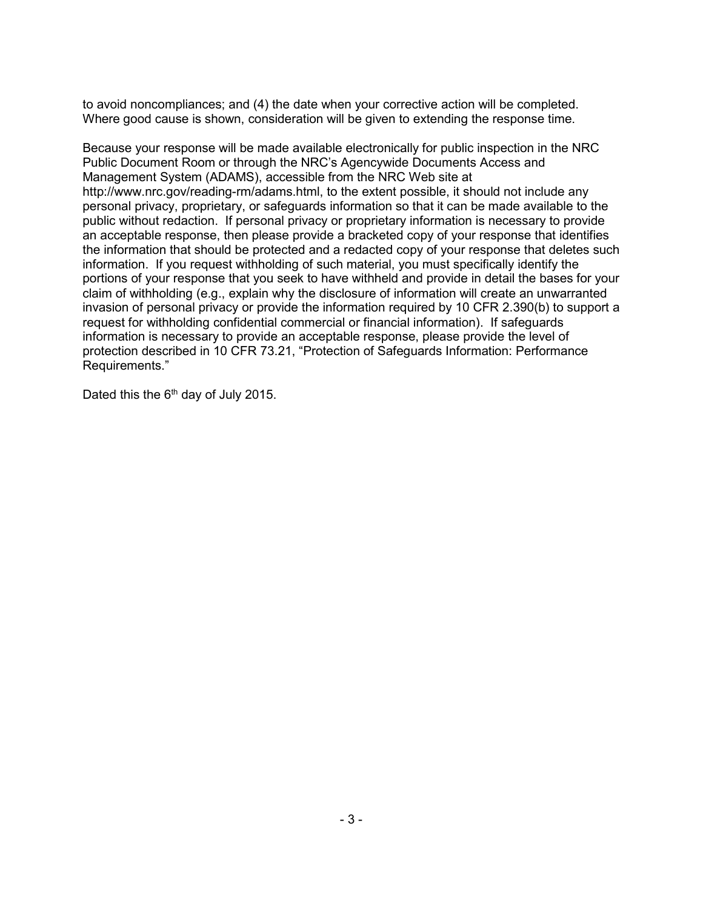to avoid noncompliances; and (4) the date when your corrective action will be completed. Where good cause is shown, consideration will be given to extending the response time.

Because your response will be made available electronically for public inspection in the NRC Public Document Room or through the NRC's Agencywide Documents Access and Management System (ADAMS), accessible from the NRC Web site at http://www.nrc.gov/reading-rm/adams.html, to the extent possible, it should not include any personal privacy, proprietary, or safeguards information so that it can be made available to the public without redaction. If personal privacy or proprietary information is necessary to provide an acceptable response, then please provide a bracketed copy of your response that identifies the information that should be protected and a redacted copy of your response that deletes such information. If you request withholding of such material, you must specifically identify the portions of your response that you seek to have withheld and provide in detail the bases for your claim of withholding (e.g., explain why the disclosure of information will create an unwarranted invasion of personal privacy or provide the information required by 10 CFR 2.390(b) to support a request for withholding confidential commercial or financial information). If safeguards information is necessary to provide an acceptable response, please provide the level of protection described in 10 CFR 73.21, "Protection of Safeguards Information: Performance Requirements."

Dated this the 6<sup>th</sup> day of July 2015.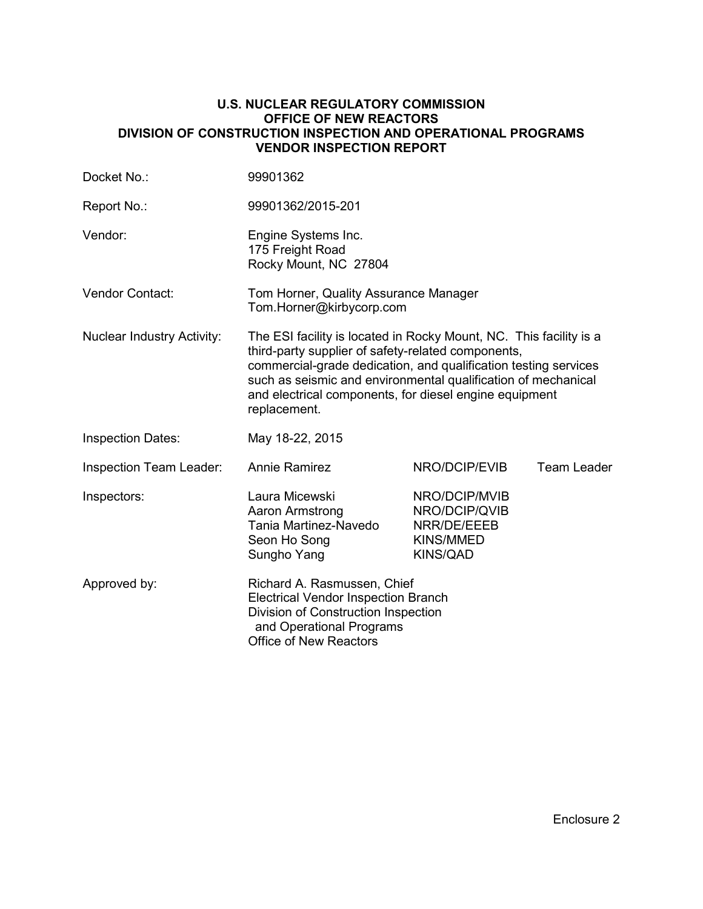#### **U.S. NUCLEAR REGULATORY COMMISSION OFFICE OF NEW REACTORS DIVISION OF CONSTRUCTION INSPECTION AND OPERATIONAL PROGRAMS VENDOR INSPECTION REPORT**

| Docket No.:                       | 99901362                                                                                                                                                                                                                                                                                                                               |                                                                                      |                    |
|-----------------------------------|----------------------------------------------------------------------------------------------------------------------------------------------------------------------------------------------------------------------------------------------------------------------------------------------------------------------------------------|--------------------------------------------------------------------------------------|--------------------|
| Report No.:                       | 99901362/2015-201                                                                                                                                                                                                                                                                                                                      |                                                                                      |                    |
| Vendor:                           | Engine Systems Inc.<br>175 Freight Road<br>Rocky Mount, NC 27804                                                                                                                                                                                                                                                                       |                                                                                      |                    |
| Vendor Contact:                   | Tom Horner, Quality Assurance Manager<br>Tom.Horner@kirbycorp.com                                                                                                                                                                                                                                                                      |                                                                                      |                    |
| <b>Nuclear Industry Activity:</b> | The ESI facility is located in Rocky Mount, NC. This facility is a<br>third-party supplier of safety-related components,<br>commercial-grade dedication, and qualification testing services<br>such as seismic and environmental qualification of mechanical<br>and electrical components, for diesel engine equipment<br>replacement. |                                                                                      |                    |
| <b>Inspection Dates:</b>          | May 18-22, 2015                                                                                                                                                                                                                                                                                                                        |                                                                                      |                    |
| Inspection Team Leader:           | <b>Annie Ramirez</b>                                                                                                                                                                                                                                                                                                                   | NRO/DCIP/EVIB                                                                        | <b>Team Leader</b> |
| Inspectors:                       | Laura Micewski<br>Aaron Armstrong<br>Tania Martinez-Navedo<br>Seon Ho Song<br>Sungho Yang                                                                                                                                                                                                                                              | NRO/DCIP/MVIB<br>NRO/DCIP/QVIB<br>NRR/DE/EEEB<br><b>KINS/MMED</b><br><b>KINS/QAD</b> |                    |
| Approved by:                      | Richard A. Rasmussen, Chief<br><b>Electrical Vendor Inspection Branch</b><br>Division of Construction Inspection<br>and Operational Programs<br>Office of New Reactors                                                                                                                                                                 |                                                                                      |                    |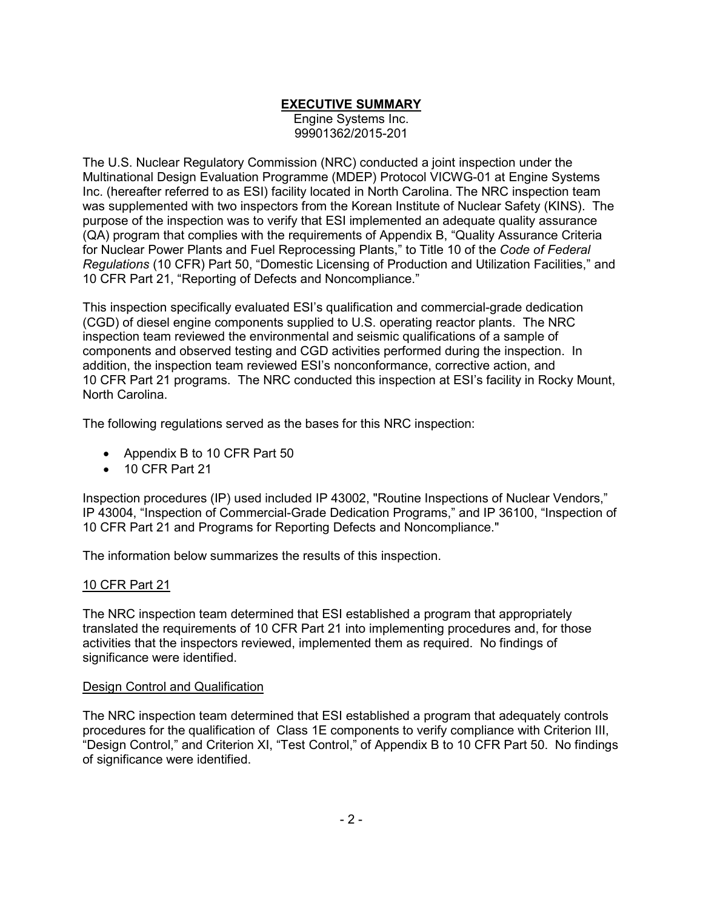# **EXECUTIVE SUMMARY**

Engine Systems Inc. 99901362/2015-201

The U.S. Nuclear Regulatory Commission (NRC) conducted a joint inspection under the Multinational Design Evaluation Programme (MDEP) Protocol VICWG-01 at Engine Systems Inc. (hereafter referred to as ESI) facility located in North Carolina. The NRC inspection team was supplemented with two inspectors from the Korean Institute of Nuclear Safety (KINS). The purpose of the inspection was to verify that ESI implemented an adequate quality assurance (QA) program that complies with the requirements of Appendix B, "Quality Assurance Criteria for Nuclear Power Plants and Fuel Reprocessing Plants," to Title 10 of the *Code of Federal Regulations* (10 CFR) Part 50, "Domestic Licensing of Production and Utilization Facilities," and 10 CFR Part 21, "Reporting of Defects and Noncompliance."

This inspection specifically evaluated ESI's qualification and commercial-grade dedication (CGD) of diesel engine components supplied to U.S. operating reactor plants. The NRC inspection team reviewed the environmental and seismic qualifications of a sample of components and observed testing and CGD activities performed during the inspection. In addition, the inspection team reviewed ESI's nonconformance, corrective action, and 10 CFR Part 21 programs. The NRC conducted this inspection at ESI's facility in Rocky Mount, North Carolina.

The following regulations served as the bases for this NRC inspection:

- Appendix B to 10 CFR Part 50
- 10 CFR Part 21

Inspection procedures (IP) used included IP 43002, "Routine Inspections of Nuclear Vendors," IP 43004, "Inspection of Commercial-Grade Dedication Programs," and IP 36100, "Inspection of 10 CFR Part 21 and Programs for Reporting Defects and Noncompliance."

The information below summarizes the results of this inspection.

### 10 CFR Part 21

The NRC inspection team determined that ESI established a program that appropriately translated the requirements of 10 CFR Part 21 into implementing procedures and, for those activities that the inspectors reviewed, implemented them as required. No findings of significance were identified.

#### Design Control and Qualification

The NRC inspection team determined that ESI established a program that adequately controls procedures for the qualification of Class 1E components to verify compliance with Criterion III, "Design Control," and Criterion XI, "Test Control," of Appendix B to 10 CFR Part 50. No findings of significance were identified.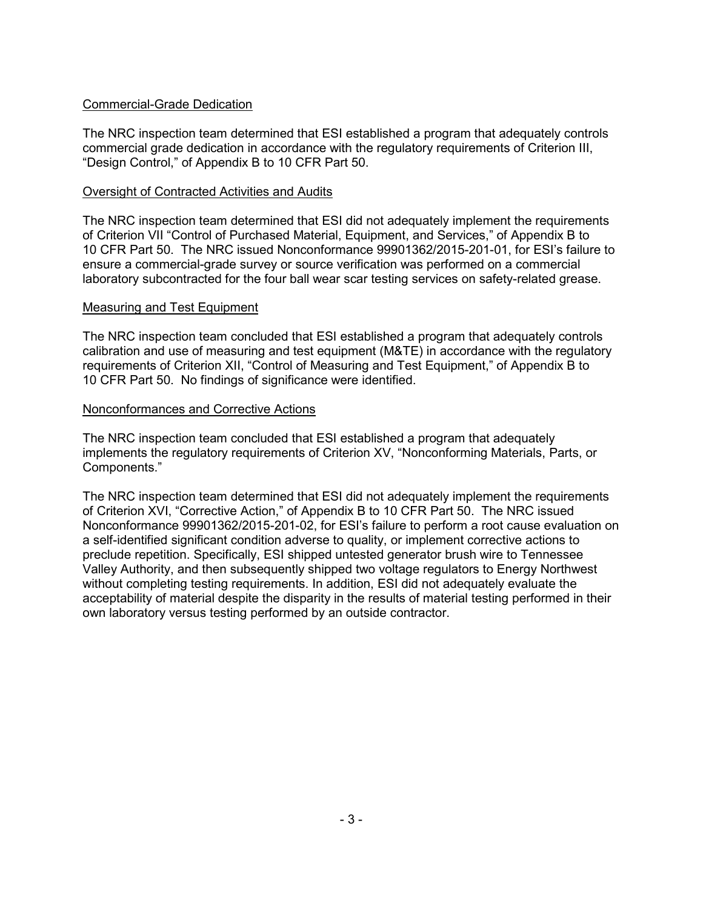### Commercial-Grade Dedication

The NRC inspection team determined that ESI established a program that adequately controls commercial grade dedication in accordance with the regulatory requirements of Criterion III, "Design Control," of Appendix B to 10 CFR Part 50.

#### Oversight of Contracted Activities and Audits

The NRC inspection team determined that ESI did not adequately implement the requirements of Criterion VII "Control of Purchased Material, Equipment, and Services," of Appendix B to 10 CFR Part 50. The NRC issued Nonconformance 99901362/2015-201-01, for ESI's failure to ensure a commercial-grade survey or source verification was performed on a commercial laboratory subcontracted for the four ball wear scar testing services on safety-related grease.

### Measuring and Test Equipment

The NRC inspection team concluded that ESI established a program that adequately controls calibration and use of measuring and test equipment (M&TE) in accordance with the regulatory requirements of Criterion XII, "Control of Measuring and Test Equipment," of Appendix B to 10 CFR Part 50. No findings of significance were identified.

#### Nonconformances and Corrective Actions

The NRC inspection team concluded that ESI established a program that adequately implements the regulatory requirements of Criterion XV, "Nonconforming Materials, Parts, or Components."

The NRC inspection team determined that ESI did not adequately implement the requirements of Criterion XVI, "Corrective Action," of Appendix B to 10 CFR Part 50. The NRC issued Nonconformance 99901362/2015-201-02, for ESI's failure to perform a root cause evaluation on a self-identified significant condition adverse to quality, or implement corrective actions to preclude repetition. Specifically, ESI shipped untested generator brush wire to Tennessee Valley Authority, and then subsequently shipped two voltage regulators to Energy Northwest without completing testing requirements. In addition, ESI did not adequately evaluate the acceptability of material despite the disparity in the results of material testing performed in their own laboratory versus testing performed by an outside contractor.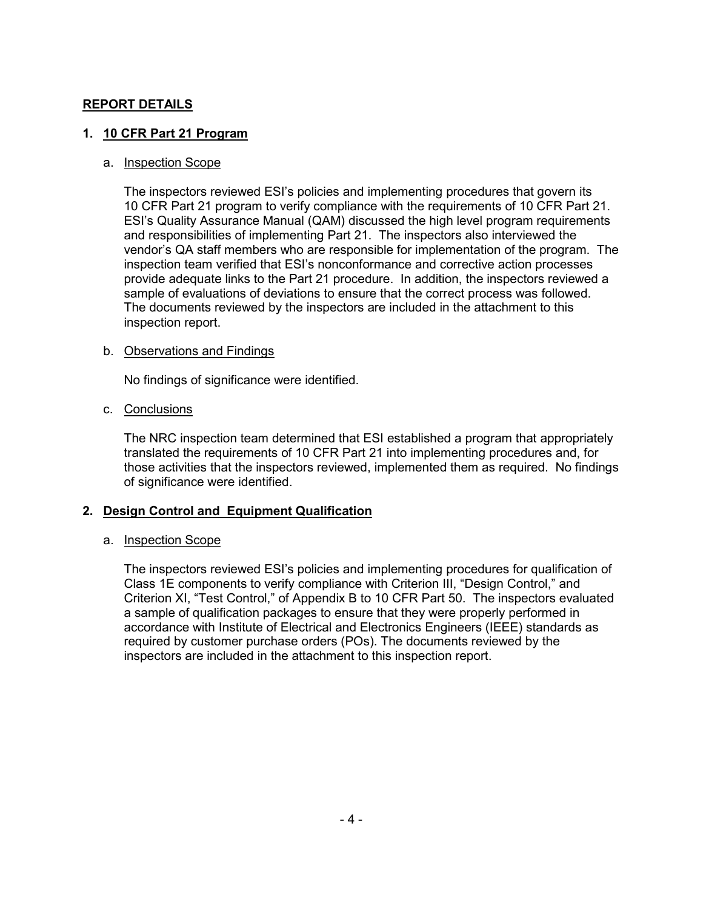# **REPORT DETAILS**

#### **1. 10 CFR Part 21 Program**

#### a. Inspection Scope

The inspectors reviewed ESI's policies and implementing procedures that govern its 10 CFR Part 21 program to verify compliance with the requirements of 10 CFR Part 21. ESI's Quality Assurance Manual (QAM) discussed the high level program requirements and responsibilities of implementing Part 21. The inspectors also interviewed the vendor's QA staff members who are responsible for implementation of the program. The inspection team verified that ESI's nonconformance and corrective action processes provide adequate links to the Part 21 procedure. In addition, the inspectors reviewed a sample of evaluations of deviations to ensure that the correct process was followed. The documents reviewed by the inspectors are included in the attachment to this inspection report.

#### b. Observations and Findings

No findings of significance were identified.

#### c. Conclusions

The NRC inspection team determined that ESI established a program that appropriately translated the requirements of 10 CFR Part 21 into implementing procedures and, for those activities that the inspectors reviewed, implemented them as required. No findings of significance were identified.

### **2. Design Control and Equipment Qualification**

### a. Inspection Scope

The inspectors reviewed ESI's policies and implementing procedures for qualification of Class 1E components to verify compliance with Criterion III, "Design Control," and Criterion XI, "Test Control," of Appendix B to 10 CFR Part 50. The inspectors evaluated a sample of qualification packages to ensure that they were properly performed in accordance with Institute of Electrical and Electronics Engineers (IEEE) standards as required by customer purchase orders (POs). The documents reviewed by the inspectors are included in the attachment to this inspection report.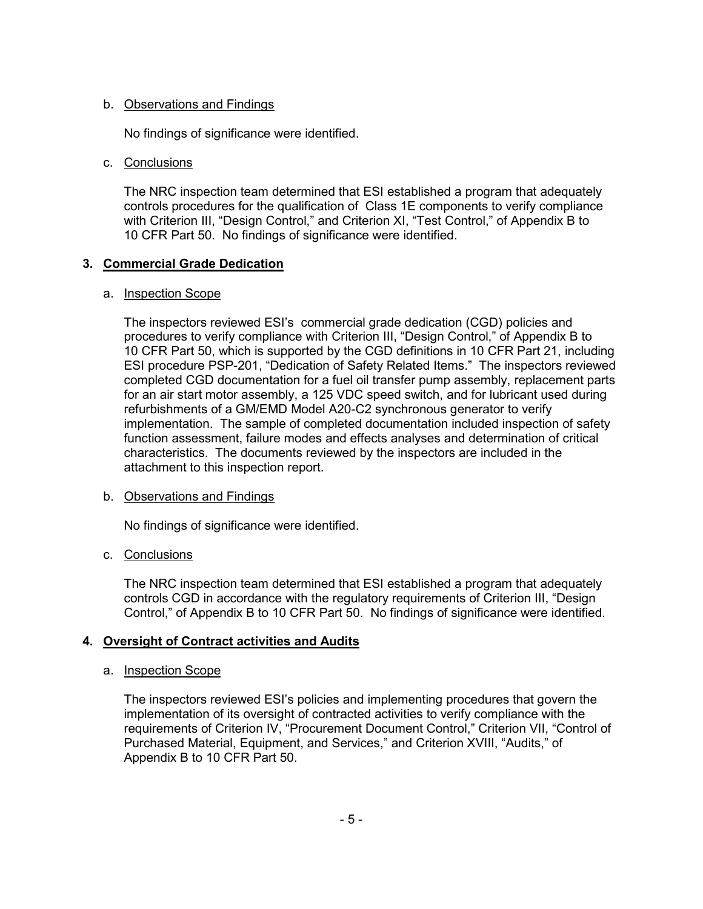### b. Observations and Findings

No findings of significance were identified.

### c. Conclusions

The NRC inspection team determined that ESI established a program that adequately controls procedures for the qualification of Class 1E components to verify compliance with Criterion III, "Design Control," and Criterion XI, "Test Control," of Appendix B to 10 CFR Part 50. No findings of significance were identified.

## **3. Commercial Grade Dedication**

### a. Inspection Scope

The inspectors reviewed ESI's commercial grade dedication (CGD) policies and procedures to verify compliance with Criterion III, "Design Control," of Appendix B to 10 CFR Part 50, which is supported by the CGD definitions in 10 CFR Part 21, including ESI procedure PSP-201, "Dedication of Safety Related Items." The inspectors reviewed completed CGD documentation for a fuel oil transfer pump assembly, replacement parts for an air start motor assembly, a 125 VDC speed switch, and for lubricant used during refurbishments of a GM/EMD Model A20-C2 synchronous generator to verify implementation. The sample of completed documentation included inspection of safety function assessment, failure modes and effects analyses and determination of critical characteristics. The documents reviewed by the inspectors are included in the attachment to this inspection report.

# b. Observations and Findings

No findings of significance were identified.

# c. Conclusions

The NRC inspection team determined that ESI established a program that adequately controls CGD in accordance with the regulatory requirements of Criterion III, "Design Control," of Appendix B to 10 CFR Part 50. No findings of significance were identified.

# **4. Oversight of Contract activities and Audits**

### a. Inspection Scope

The inspectors reviewed ESI's policies and implementing procedures that govern the implementation of its oversight of contracted activities to verify compliance with the requirements of Criterion IV, "Procurement Document Control," Criterion VII, "Control of Purchased Material, Equipment, and Services," and Criterion XVIII, "Audits," of Appendix B to 10 CFR Part 50.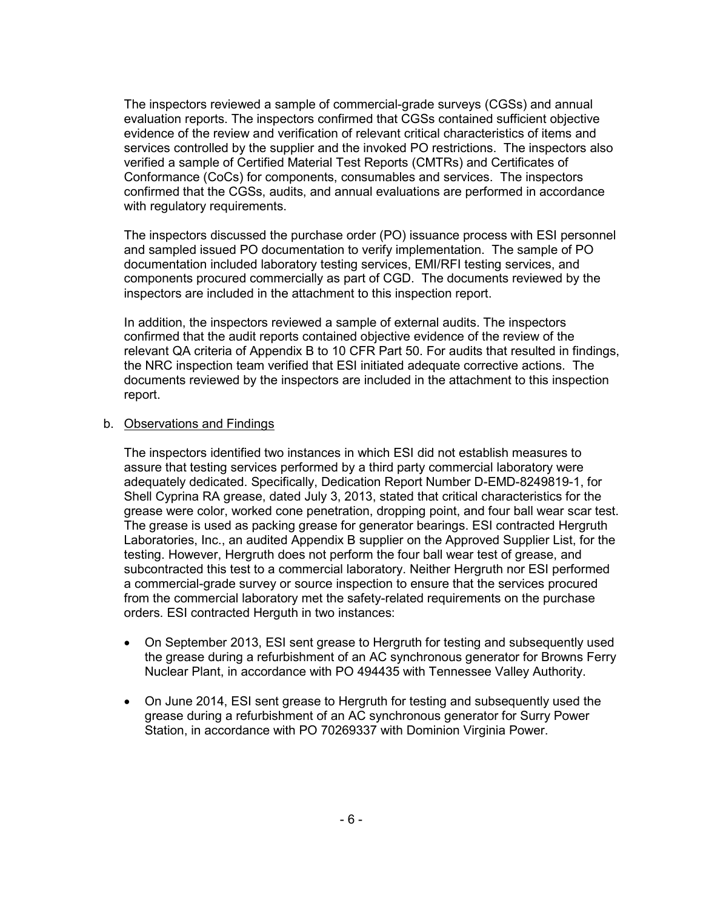The inspectors reviewed a sample of commercial-grade surveys (CGSs) and annual evaluation reports. The inspectors confirmed that CGSs contained sufficient objective evidence of the review and verification of relevant critical characteristics of items and services controlled by the supplier and the invoked PO restrictions. The inspectors also verified a sample of Certified Material Test Reports (CMTRs) and Certificates of Conformance (CoCs) for components, consumables and services. The inspectors confirmed that the CGSs, audits, and annual evaluations are performed in accordance with regulatory requirements.

The inspectors discussed the purchase order (PO) issuance process with ESI personnel and sampled issued PO documentation to verify implementation. The sample of PO documentation included laboratory testing services, EMI/RFI testing services, and components procured commercially as part of CGD. The documents reviewed by the inspectors are included in the attachment to this inspection report.

In addition, the inspectors reviewed a sample of external audits. The inspectors confirmed that the audit reports contained objective evidence of the review of the relevant QA criteria of Appendix B to 10 CFR Part 50. For audits that resulted in findings, the NRC inspection team verified that ESI initiated adequate corrective actions. The documents reviewed by the inspectors are included in the attachment to this inspection report.

#### b. Observations and Findings

The inspectors identified two instances in which ESI did not establish measures to assure that testing services performed by a third party commercial laboratory were adequately dedicated. Specifically, Dedication Report Number D-EMD-8249819-1, for Shell Cyprina RA grease, dated July 3, 2013, stated that critical characteristics for the grease were color, worked cone penetration, dropping point, and four ball wear scar test. The grease is used as packing grease for generator bearings. ESI contracted Hergruth Laboratories, Inc., an audited Appendix B supplier on the Approved Supplier List, for the testing. However, Hergruth does not perform the four ball wear test of grease, and subcontracted this test to a commercial laboratory. Neither Hergruth nor ESI performed a commercial-grade survey or source inspection to ensure that the services procured from the commercial laboratory met the safety-related requirements on the purchase orders. ESI contracted Herguth in two instances:

- On September 2013, ESI sent grease to Hergruth for testing and subsequently used the grease during a refurbishment of an AC synchronous generator for Browns Ferry Nuclear Plant, in accordance with PO 494435 with Tennessee Valley Authority.
- On June 2014, ESI sent grease to Hergruth for testing and subsequently used the grease during a refurbishment of an AC synchronous generator for Surry Power Station, in accordance with PO 70269337 with Dominion Virginia Power.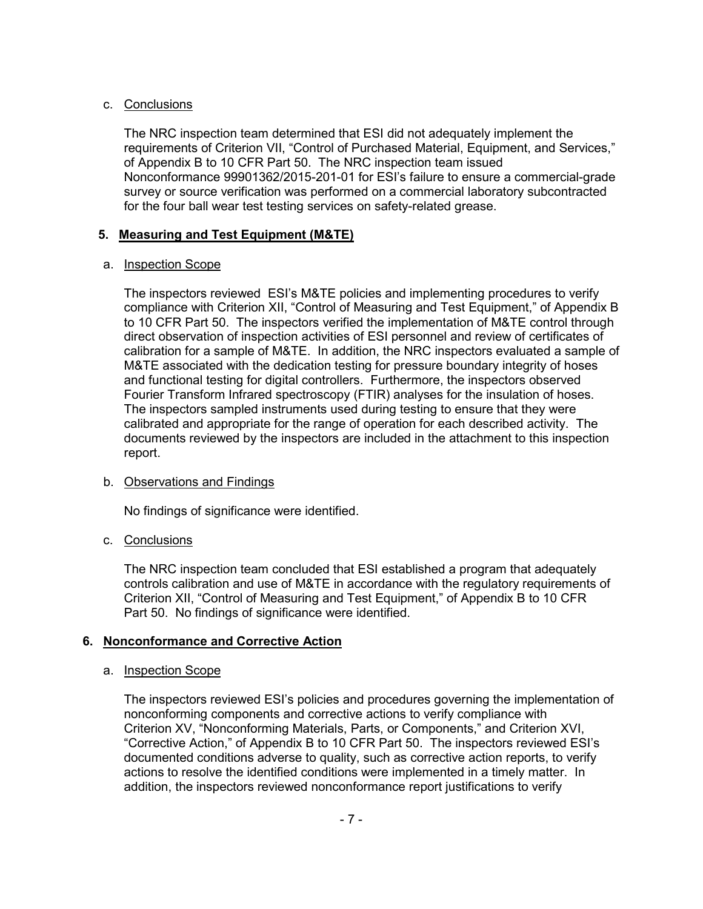## c. Conclusions

The NRC inspection team determined that ESI did not adequately implement the requirements of Criterion VII, "Control of Purchased Material, Equipment, and Services," of Appendix B to 10 CFR Part 50. The NRC inspection team issued Nonconformance 99901362/2015-201-01 for ESI's failure to ensure a commercial-grade survey or source verification was performed on a commercial laboratory subcontracted for the four ball wear test testing services on safety-related grease.

# **5. Measuring and Test Equipment (M&TE)**

## a. Inspection Scope

The inspectors reviewed ESI's M&TE policies and implementing procedures to verify compliance with Criterion XII, "Control of Measuring and Test Equipment," of Appendix B to 10 CFR Part 50. The inspectors verified the implementation of M&TE control through direct observation of inspection activities of ESI personnel and review of certificates of calibration for a sample of M&TE. In addition, the NRC inspectors evaluated a sample of M&TE associated with the dedication testing for pressure boundary integrity of hoses and functional testing for digital controllers. Furthermore, the inspectors observed Fourier Transform Infrared spectroscopy (FTIR) analyses for the insulation of hoses. The inspectors sampled instruments used during testing to ensure that they were calibrated and appropriate for the range of operation for each described activity. The documents reviewed by the inspectors are included in the attachment to this inspection report.

# b. Observations and Findings

No findings of significance were identified.

# c. Conclusions

The NRC inspection team concluded that ESI established a program that adequately controls calibration and use of M&TE in accordance with the regulatory requirements of Criterion XII, "Control of Measuring and Test Equipment," of Appendix B to 10 CFR Part 50. No findings of significance were identified.

# **6. Nonconformance and Corrective Action**

### a. Inspection Scope

The inspectors reviewed ESI's policies and procedures governing the implementation of nonconforming components and corrective actions to verify compliance with Criterion XV, "Nonconforming Materials, Parts, or Components," and Criterion XVI, "Corrective Action," of Appendix B to 10 CFR Part 50. The inspectors reviewed ESI's documented conditions adverse to quality, such as corrective action reports, to verify actions to resolve the identified conditions were implemented in a timely matter. In addition, the inspectors reviewed nonconformance report justifications to verify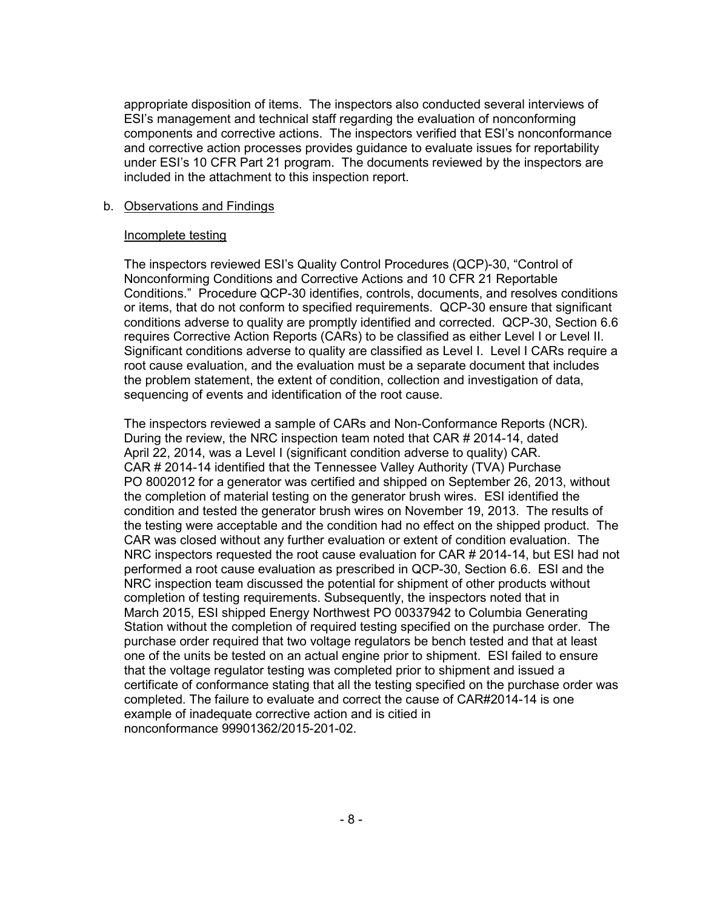appropriate disposition of items. The inspectors also conducted several interviews of ESI's management and technical staff regarding the evaluation of nonconforming components and corrective actions. The inspectors verified that ESI's nonconformance and corrective action processes provides guidance to evaluate issues for reportability under ESI's 10 CFR Part 21 program. The documents reviewed by the inspectors are included in the attachment to this inspection report.

#### b. Observations and Findings

#### Incomplete testing

The inspectors reviewed ESI's Quality Control Procedures (QCP)-30, "Control of Nonconforming Conditions and Corrective Actions and 10 CFR 21 Reportable Conditions." Procedure QCP-30 identifies, controls, documents, and resolves conditions or items, that do not conform to specified requirements. QCP-30 ensure that significant conditions adverse to quality are promptly identified and corrected. QCP-30, Section 6.6 requires Corrective Action Reports (CARs) to be classified as either Level I or Level II. Significant conditions adverse to quality are classified as Level I. Level I CARs require a root cause evaluation, and the evaluation must be a separate document that includes the problem statement, the extent of condition, collection and investigation of data, sequencing of events and identification of the root cause.

The inspectors reviewed a sample of CARs and Non-Conformance Reports (NCR). During the review, the NRC inspection team noted that CAR # 2014-14, dated April 22, 2014, was a Level I (significant condition adverse to quality) CAR. CAR # 2014-14 identified that the Tennessee Valley Authority (TVA) Purchase PO 8002012 for a generator was certified and shipped on September 26, 2013, without the completion of material testing on the generator brush wires. ESI identified the condition and tested the generator brush wires on November 19, 2013. The results of the testing were acceptable and the condition had no effect on the shipped product. The CAR was closed without any further evaluation or extent of condition evaluation. The NRC inspectors requested the root cause evaluation for CAR # 2014-14, but ESI had not performed a root cause evaluation as prescribed in QCP-30, Section 6.6. ESI and the NRC inspection team discussed the potential for shipment of other products without completion of testing requirements. Subsequently, the inspectors noted that in March 2015, ESI shipped Energy Northwest PO 00337942 to Columbia Generating Station without the completion of required testing specified on the purchase order. The purchase order required that two voltage regulators be bench tested and that at least one of the units be tested on an actual engine prior to shipment. ESI failed to ensure that the voltage regulator testing was completed prior to shipment and issued a certificate of conformance stating that all the testing specified on the purchase order was completed. The failure to evaluate and correct the cause of CAR#2014-14 is one example of inadequate corrective action and is citied in nonconformance 99901362/2015-201-02.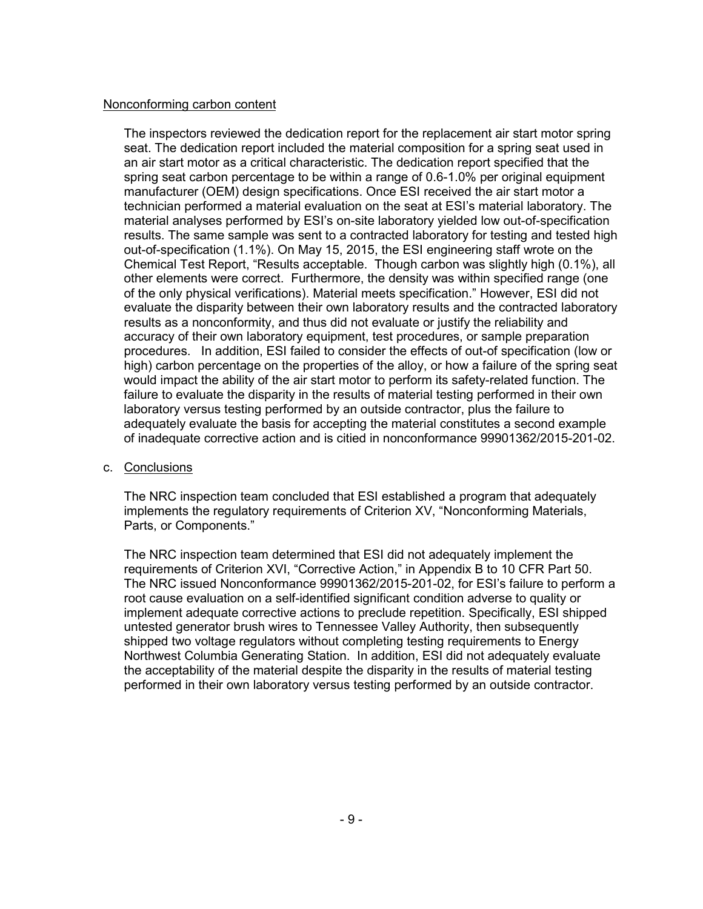### Nonconforming carbon content

The inspectors reviewed the dedication report for the replacement air start motor spring seat. The dedication report included the material composition for a spring seat used in an air start motor as a critical characteristic. The dedication report specified that the spring seat carbon percentage to be within a range of 0.6-1.0% per original equipment manufacturer (OEM) design specifications. Once ESI received the air start motor a technician performed a material evaluation on the seat at ESI's material laboratory. The material analyses performed by ESI's on-site laboratory yielded low out-of-specification results. The same sample was sent to a contracted laboratory for testing and tested high out-of-specification (1.1%). On May 15, 2015, the ESI engineering staff wrote on the Chemical Test Report, "Results acceptable. Though carbon was slightly high (0.1%), all other elements were correct. Furthermore, the density was within specified range (one of the only physical verifications). Material meets specification." However, ESI did not evaluate the disparity between their own laboratory results and the contracted laboratory results as a nonconformity, and thus did not evaluate or justify the reliability and accuracy of their own laboratory equipment, test procedures, or sample preparation procedures. In addition, ESI failed to consider the effects of out-of specification (low or high) carbon percentage on the properties of the alloy, or how a failure of the spring seat would impact the ability of the air start motor to perform its safety-related function. The failure to evaluate the disparity in the results of material testing performed in their own laboratory versus testing performed by an outside contractor, plus the failure to adequately evaluate the basis for accepting the material constitutes a second example of inadequate corrective action and is citied in nonconformance 99901362/2015-201-02.

c. Conclusions

The NRC inspection team concluded that ESI established a program that adequately implements the regulatory requirements of Criterion XV, "Nonconforming Materials, Parts, or Components."

The NRC inspection team determined that ESI did not adequately implement the requirements of Criterion XVI, "Corrective Action," in Appendix B to 10 CFR Part 50. The NRC issued Nonconformance 99901362/2015-201-02, for ESI's failure to perform a root cause evaluation on a self-identified significant condition adverse to quality or implement adequate corrective actions to preclude repetition. Specifically, ESI shipped untested generator brush wires to Tennessee Valley Authority, then subsequently shipped two voltage regulators without completing testing requirements to Energy Northwest Columbia Generating Station. In addition, ESI did not adequately evaluate the acceptability of the material despite the disparity in the results of material testing performed in their own laboratory versus testing performed by an outside contractor.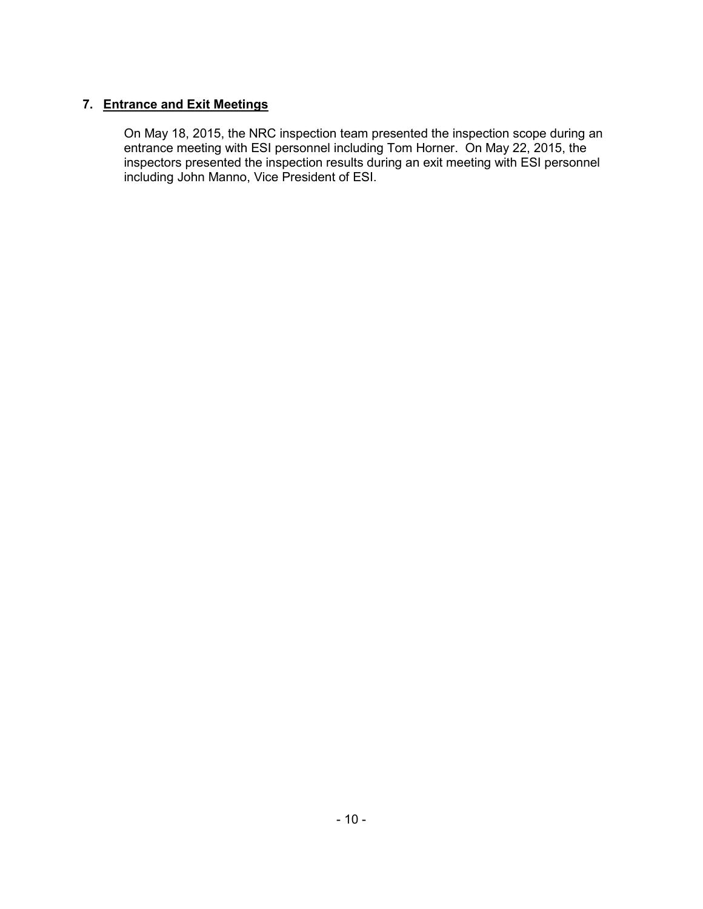# **7. Entrance and Exit Meetings**

On May 18, 2015, the NRC inspection team presented the inspection scope during an entrance meeting with ESI personnel including Tom Horner. On May 22, 2015, the inspectors presented the inspection results during an exit meeting with ESI personnel including John Manno, Vice President of ESI.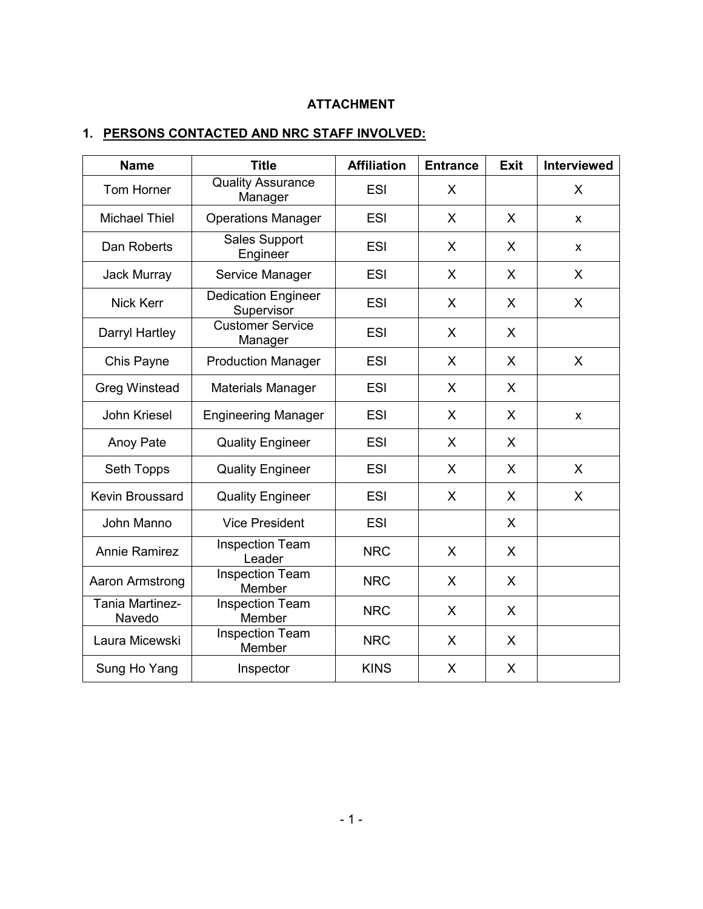# **ATTACHMENT**

# **1. PERSONS CONTACTED AND NRC STAFF INVOLVED:**

| <b>Name</b>               | <b>Title</b>                             | <b>Affiliation</b> | <b>Entrance</b> | <b>Exit</b> | Interviewed  |
|---------------------------|------------------------------------------|--------------------|-----------------|-------------|--------------|
| Tom Horner                | <b>Quality Assurance</b><br>Manager      | <b>ESI</b>         | X               |             | X            |
| <b>Michael Thiel</b>      | <b>Operations Manager</b>                | <b>ESI</b>         | X               | X           | X.           |
| Dan Roberts               | <b>Sales Support</b><br>Engineer         | <b>ESI</b>         | X               | X           | X            |
| Jack Murray               | Service Manager                          | <b>ESI</b>         | X               | X           | $\mathsf{X}$ |
| <b>Nick Kerr</b>          | <b>Dedication Engineer</b><br>Supervisor | <b>ESI</b>         | X               | X           | X            |
| Darryl Hartley            | <b>Customer Service</b><br>Manager       | <b>ESI</b>         | X               | X           |              |
| Chis Payne                | <b>Production Manager</b>                | <b>ESI</b>         | X               | X           | $\mathsf{X}$ |
| <b>Greg Winstead</b>      | <b>Materials Manager</b>                 | <b>ESI</b>         | X               | X           |              |
| John Kriesel              | <b>Engineering Manager</b>               | <b>ESI</b>         | X               | X           | X            |
| Anoy Pate                 | <b>Quality Engineer</b>                  | <b>ESI</b>         | X               | X           |              |
| Seth Topps                | <b>Quality Engineer</b>                  | <b>ESI</b>         | X               | X           | X            |
| Kevin Broussard           | <b>Quality Engineer</b>                  | <b>ESI</b>         | X               | $\sf X$     | $\mathsf{X}$ |
| John Manno                | <b>Vice President</b>                    | <b>ESI</b>         |                 | X           |              |
| <b>Annie Ramirez</b>      | <b>Inspection Team</b><br>Leader         | <b>NRC</b>         | X               | X           |              |
| Aaron Armstrong           | <b>Inspection Team</b><br>Member         | <b>NRC</b>         | X               | $\sf X$     |              |
| Tania Martinez-<br>Navedo | <b>Inspection Team</b><br>Member         | <b>NRC</b>         | X               | $\sf X$     |              |
| Laura Micewski            | <b>Inspection Team</b><br>Member         | <b>NRC</b>         | $\sf X$         | $\sf X$     |              |
| Sung Ho Yang              | Inspector                                | <b>KINS</b>        | X               | X           |              |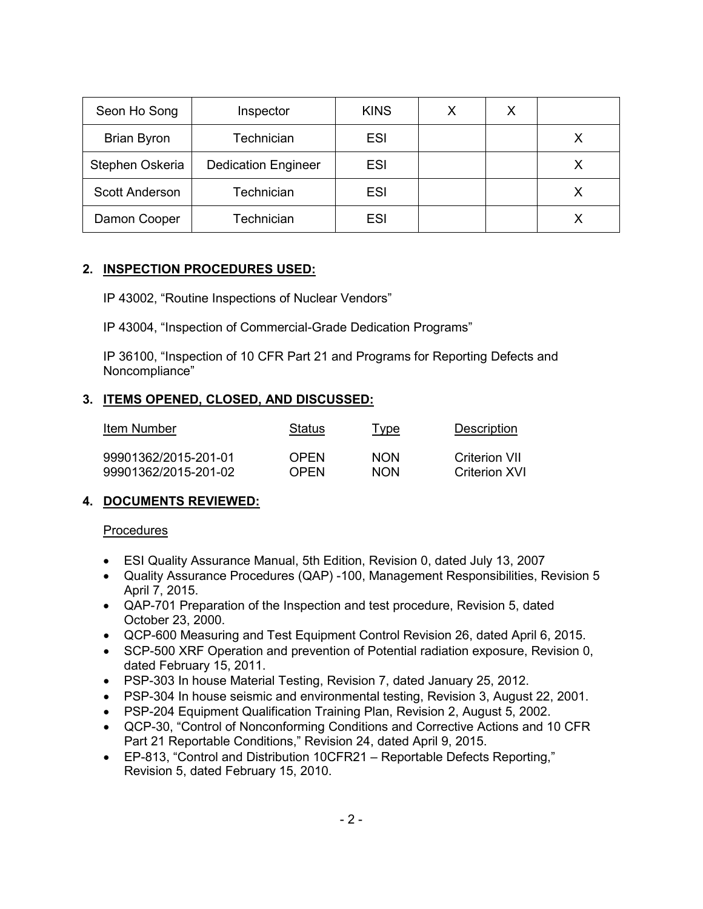| Seon Ho Song          | Inspector                  | <b>KINS</b> | Х |  |
|-----------------------|----------------------------|-------------|---|--|
| <b>Brian Byron</b>    | Technician                 | <b>ESI</b>  |   |  |
| Stephen Oskeria       | <b>Dedication Engineer</b> | <b>ESI</b>  |   |  |
| <b>Scott Anderson</b> | Technician                 | <b>ESI</b>  |   |  |
| Damon Cooper          | Technician                 | <b>ESI</b>  |   |  |

## **2. INSPECTION PROCEDURES USED:**

IP 43002, "Routine Inspections of Nuclear Vendors"

IP 43004, "Inspection of Commercial-Grade Dedication Programs"

IP 36100, "Inspection of 10 CFR Part 21 and Programs for Reporting Defects and Noncompliance"

## **3. ITEMS OPENED, CLOSED, AND DISCUSSED:**

| Item Number          | Status      | Type       | Description   |
|----------------------|-------------|------------|---------------|
| 99901362/2015-201-01 | <b>OPFN</b> | <b>NON</b> | Criterion VII |
| 99901362/2015-201-02 | <b>OPFN</b> | <b>NON</b> | Criterion XVI |

# **4. DOCUMENTS REVIEWED:**

### Procedures

- ESI Quality Assurance Manual, 5th Edition, Revision 0, dated July 13, 2007
- Quality Assurance Procedures (QAP) -100, Management Responsibilities, Revision 5 April 7, 2015.
- QAP-701 Preparation of the Inspection and test procedure, Revision 5, dated October 23, 2000.
- QCP-600 Measuring and Test Equipment Control Revision 26, dated April 6, 2015.
- SCP-500 XRF Operation and prevention of Potential radiation exposure, Revision 0, dated February 15, 2011.
- PSP-303 In house Material Testing, Revision 7, dated January 25, 2012.
- PSP-304 In house seismic and environmental testing, Revision 3, August 22, 2001.
- PSP-204 Equipment Qualification Training Plan, Revision 2, August 5, 2002.
- QCP-30, "Control of Nonconforming Conditions and Corrective Actions and 10 CFR Part 21 Reportable Conditions," Revision 24, dated April 9, 2015.
- EP-813, "Control and Distribution 10CFR21 Reportable Defects Reporting," Revision 5, dated February 15, 2010.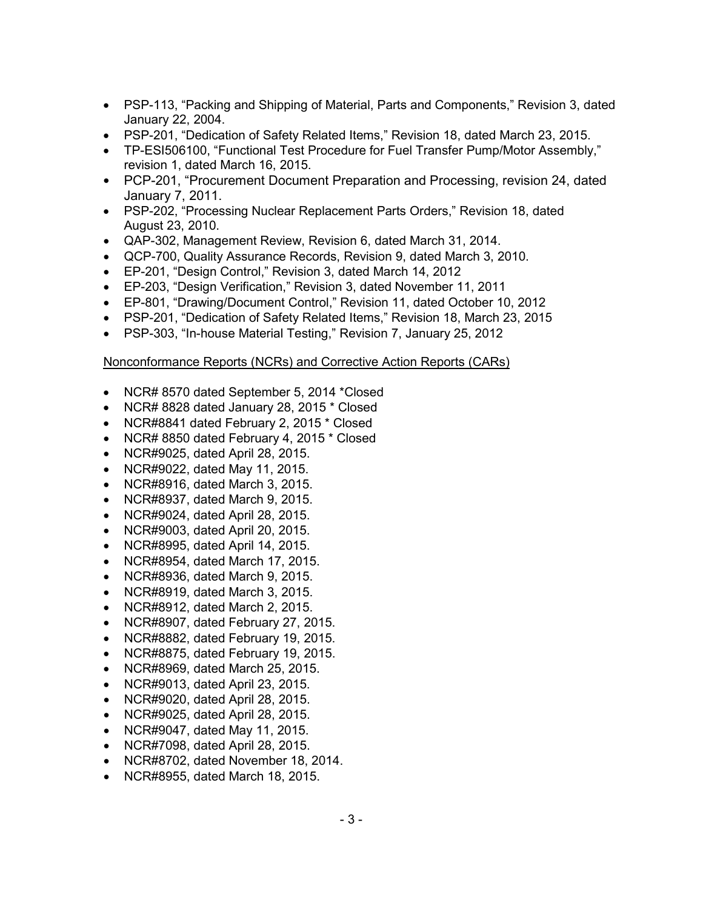- PSP-113, "Packing and Shipping of Material, Parts and Components," Revision 3, dated January 22, 2004.
- PSP-201, "Dedication of Safety Related Items," Revision 18, dated March 23, 2015.
- TP-ESI506100, "Functional Test Procedure for Fuel Transfer Pump/Motor Assembly," revision 1, dated March 16, 2015.
- PCP-201, "Procurement Document Preparation and Processing, revision 24, dated January 7, 2011.
- PSP-202, "Processing Nuclear Replacement Parts Orders," Revision 18, dated August 23, 2010.
- QAP-302, Management Review, Revision 6, dated March 31, 2014.
- QCP-700, Quality Assurance Records, Revision 9, dated March 3, 2010.
- EP-201, "Design Control," Revision 3, dated March 14, 2012
- EP-203, "Design Verification," Revision 3, dated November 11, 2011
- EP-801, "Drawing/Document Control," Revision 11, dated October 10, 2012
- PSP-201, "Dedication of Safety Related Items," Revision 18, March 23, 2015
- PSP-303, "In-house Material Testing," Revision 7, January 25, 2012

#### Nonconformance Reports (NCRs) and Corrective Action Reports (CARs)

- NCR# 8570 dated September 5, 2014 \*Closed
- NCR# 8828 dated January 28, 2015 \* Closed
- NCR#8841 dated February 2, 2015 \* Closed
- NCR# 8850 dated February 4, 2015 \* Closed
- NCR#9025, dated April 28, 2015.
- NCR#9022, dated May 11, 2015.
- NCR#8916, dated March 3, 2015.
- NCR#8937, dated March 9, 2015.
- NCR#9024, dated April 28, 2015.
- NCR#9003, dated April 20, 2015.
- NCR#8995, dated April 14, 2015.
- NCR#8954, dated March 17, 2015.
- NCR#8936, dated March 9, 2015.
- NCR#8919, dated March 3, 2015.
- NCR#8912, dated March 2, 2015.
- NCR#8907, dated February 27, 2015.
- NCR#8882, dated February 19, 2015.
- NCR#8875, dated February 19, 2015.
- NCR#8969, dated March 25, 2015.
- NCR#9013, dated April 23, 2015.
- NCR#9020, dated April 28, 2015.
- NCR#9025, dated April 28, 2015.
- NCR#9047, dated May 11, 2015.
- NCR#7098, dated April 28, 2015.
- NCR#8702, dated November 18, 2014.
- NCR#8955, dated March 18, 2015.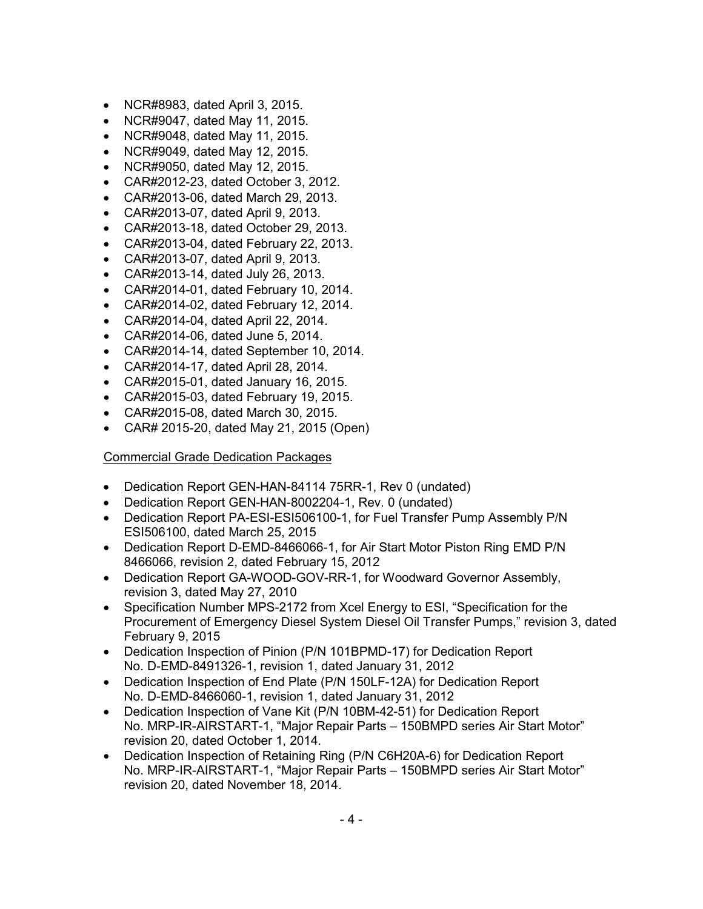- NCR#8983, dated April 3, 2015.
- NCR#9047, dated May 11, 2015.
- NCR#9048, dated May 11, 2015.
- NCR#9049, dated May 12, 2015.
- NCR#9050, dated May 12, 2015.
- CAR#2012-23, dated October 3, 2012.
- CAR#2013-06, dated March 29, 2013.
- CAR#2013-07, dated April 9, 2013.
- CAR#2013-18, dated October 29, 2013.
- CAR#2013-04, dated February 22, 2013.
- CAR#2013-07, dated April 9, 2013.
- CAR#2013-14, dated July 26, 2013.
- CAR#2014-01, dated February 10, 2014.
- CAR#2014-02, dated February 12, 2014.
- CAR#2014-04, dated April 22, 2014.
- CAR#2014-06, dated June 5, 2014.
- CAR#2014-14, dated September 10, 2014.
- CAR#2014-17, dated April 28, 2014.
- CAR#2015-01, dated January 16, 2015.
- CAR#2015-03, dated February 19, 2015.
- CAR#2015-08, dated March 30, 2015.
- CAR# 2015-20, dated May 21, 2015 (Open)

### Commercial Grade Dedication Packages

- Dedication Report GEN-HAN-84114 75RR-1, Rev 0 (undated)
- Dedication Report GEN-HAN-8002204-1, Rev. 0 (undated)
- Dedication Report PA-ESI-ESI506100-1, for Fuel Transfer Pump Assembly P/N ESI506100, dated March 25, 2015
- Dedication Report D-EMD-8466066-1, for Air Start Motor Piston Ring EMD P/N 8466066, revision 2, dated February 15, 2012
- Dedication Report GA-WOOD-GOV-RR-1, for Woodward Governor Assembly, revision 3, dated May 27, 2010
- Specification Number MPS-2172 from Xcel Energy to ESI, "Specification for the Procurement of Emergency Diesel System Diesel Oil Transfer Pumps," revision 3, dated February 9, 2015
- Dedication Inspection of Pinion (P/N 101BPMD-17) for Dedication Report No. D-EMD-8491326-1, revision 1, dated January 31, 2012
- Dedication Inspection of End Plate (P/N 150LF-12A) for Dedication Report No. D-EMD-8466060-1, revision 1, dated January 31, 2012
- Dedication Inspection of Vane Kit (P/N 10BM-42-51) for Dedication Report No. MRP-IR-AIRSTART-1, "Major Repair Parts – 150BMPD series Air Start Motor" revision 20, dated October 1, 2014.
- Dedication Inspection of Retaining Ring (P/N C6H20A-6) for Dedication Report No. MRP-IR-AIRSTART-1, "Major Repair Parts – 150BMPD series Air Start Motor" revision 20, dated November 18, 2014.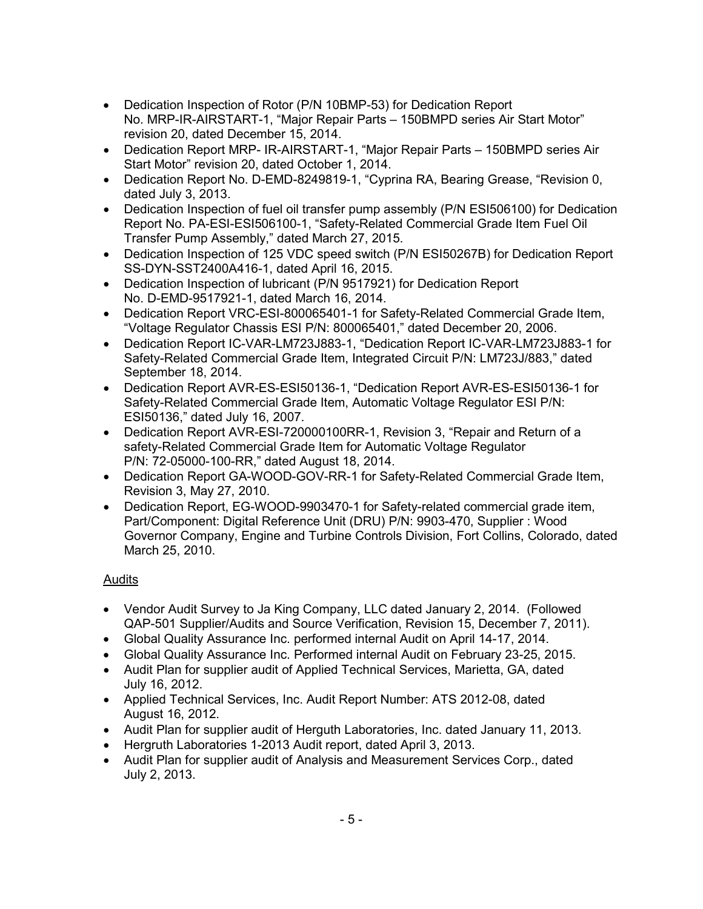- Dedication Inspection of Rotor (P/N 10BMP-53) for Dedication Report No. MRP-IR-AIRSTART-1, "Major Repair Parts – 150BMPD series Air Start Motor" revision 20, dated December 15, 2014.
- Dedication Report MRP- IR-AIRSTART-1, "Major Repair Parts 150BMPD series Air Start Motor" revision 20, dated October 1, 2014.
- Dedication Report No. D-EMD-8249819-1, "Cyprina RA, Bearing Grease, "Revision 0, dated July 3, 2013.
- Dedication Inspection of fuel oil transfer pump assembly (P/N ESI506100) for Dedication Report No. PA-ESI-ESI506100-1, "Safety-Related Commercial Grade Item Fuel Oil Transfer Pump Assembly," dated March 27, 2015.
- Dedication Inspection of 125 VDC speed switch (P/N ESI50267B) for Dedication Report SS-DYN-SST2400A416-1, dated April 16, 2015.
- Dedication Inspection of lubricant (P/N 9517921) for Dedication Report No. D-EMD-9517921-1, dated March 16, 2014.
- Dedication Report VRC-ESI-800065401-1 for Safety-Related Commercial Grade Item, "Voltage Regulator Chassis ESI P/N: 800065401," dated December 20, 2006.
- Dedication Report IC-VAR-LM723J883-1, "Dedication Report IC-VAR-LM723J883-1 for Safety-Related Commercial Grade Item, Integrated Circuit P/N: LM723J/883," dated September 18, 2014.
- Dedication Report AVR-ES-ESI50136-1, "Dedication Report AVR-ES-ESI50136-1 for Safety-Related Commercial Grade Item, Automatic Voltage Regulator ESI P/N: ESI50136," dated July 16, 2007.
- Dedication Report AVR-ESI-720000100RR-1, Revision 3, "Repair and Return of a safety-Related Commercial Grade Item for Automatic Voltage Regulator P/N: 72-05000-100-RR," dated August 18, 2014.
- Dedication Report GA-WOOD-GOV-RR-1 for Safety-Related Commercial Grade Item, Revision 3, May 27, 2010.
- Dedication Report, EG-WOOD-9903470-1 for Safety-related commercial grade item, Part/Component: Digital Reference Unit (DRU) P/N: 9903-470, Supplier : Wood Governor Company, Engine and Turbine Controls Division, Fort Collins, Colorado, dated March 25, 2010.

# Audits

- Vendor Audit Survey to Ja King Company, LLC dated January 2, 2014. (Followed QAP-501 Supplier/Audits and Source Verification, Revision 15, December 7, 2011).
- Global Quality Assurance Inc. performed internal Audit on April 14-17, 2014.
- Global Quality Assurance Inc. Performed internal Audit on February 23-25, 2015.
- Audit Plan for supplier audit of Applied Technical Services, Marietta, GA, dated July 16, 2012.
- Applied Technical Services, Inc. Audit Report Number: ATS 2012-08, dated August 16, 2012.
- Audit Plan for supplier audit of Herguth Laboratories, Inc. dated January 11, 2013.
- Hergruth Laboratories 1-2013 Audit report, dated April 3, 2013.
- Audit Plan for supplier audit of Analysis and Measurement Services Corp., dated July 2, 2013.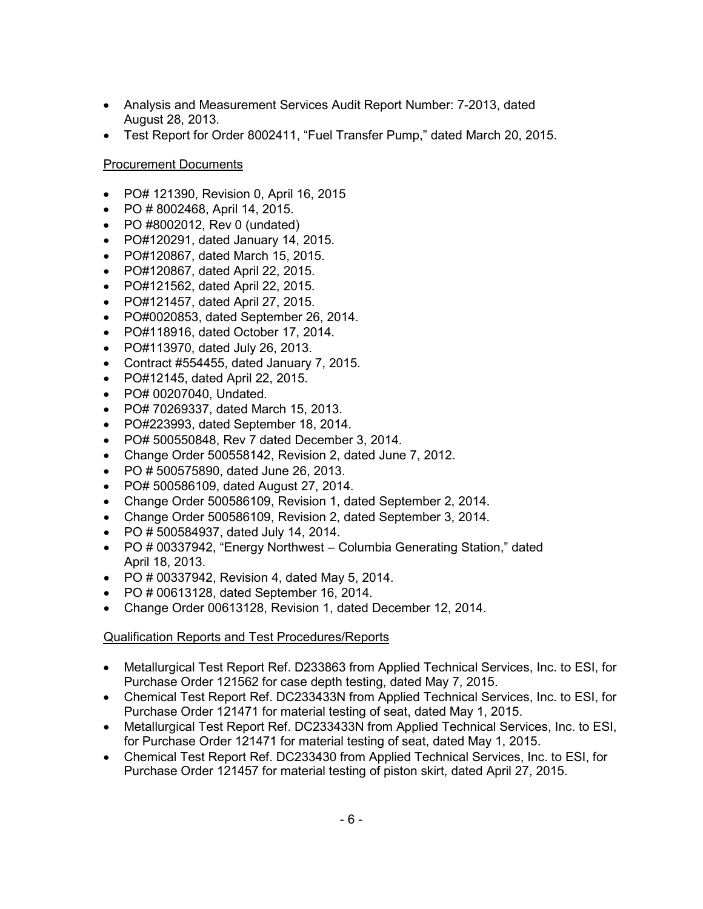- Analysis and Measurement Services Audit Report Number: 7-2013, dated August 28, 2013.
- Test Report for Order 8002411, "Fuel Transfer Pump," dated March 20, 2015.

# Procurement Documents

- PO# 121390, Revision 0, April 16, 2015
- PO # 8002468, April 14, 2015.
- PO #8002012, Rev 0 (undated)
- PO#120291, dated January 14, 2015.
- PO#120867, dated March 15, 2015.
- PO#120867, dated April 22, 2015.
- PO#121562, dated April 22, 2015.
- PO#121457, dated April 27, 2015.
- PO#0020853, dated September 26, 2014.
- PO#118916, dated October 17, 2014.
- PO#113970, dated July 26, 2013.
- Contract #554455, dated January 7, 2015.
- PO#12145, dated April 22, 2015.
- PO# 00207040, Undated.
- PO# 70269337, dated March 15, 2013.
- PO#223993, dated September 18, 2014.
- PO# 500550848, Rev 7 dated December 3, 2014.
- Change Order 500558142, Revision 2, dated June 7, 2012.
- PO # 500575890, dated June 26, 2013.
- PO# 500586109, dated August 27, 2014.
- Change Order 500586109, Revision 1, dated September 2, 2014.
- Change Order 500586109, Revision 2, dated September 3, 2014.
- PO # 500584937, dated July 14, 2014.
- PO # 00337942, "Energy Northwest Columbia Generating Station," dated April 18, 2013.
- PO # 00337942, Revision 4, dated May 5, 2014.
- PO # 00613128, dated September 16, 2014.
- Change Order 00613128, Revision 1, dated December 12, 2014.

# Qualification Reports and Test Procedures/Reports

- Metallurgical Test Report Ref. D233863 from Applied Technical Services, Inc. to ESI, for Purchase Order 121562 for case depth testing, dated May 7, 2015.
- Chemical Test Report Ref. DC233433N from Applied Technical Services, Inc. to ESI, for Purchase Order 121471 for material testing of seat, dated May 1, 2015.
- Metallurgical Test Report Ref. DC233433N from Applied Technical Services, Inc. to ESI, for Purchase Order 121471 for material testing of seat, dated May 1, 2015.
- Chemical Test Report Ref. DC233430 from Applied Technical Services, Inc. to ESI, for Purchase Order 121457 for material testing of piston skirt, dated April 27, 2015.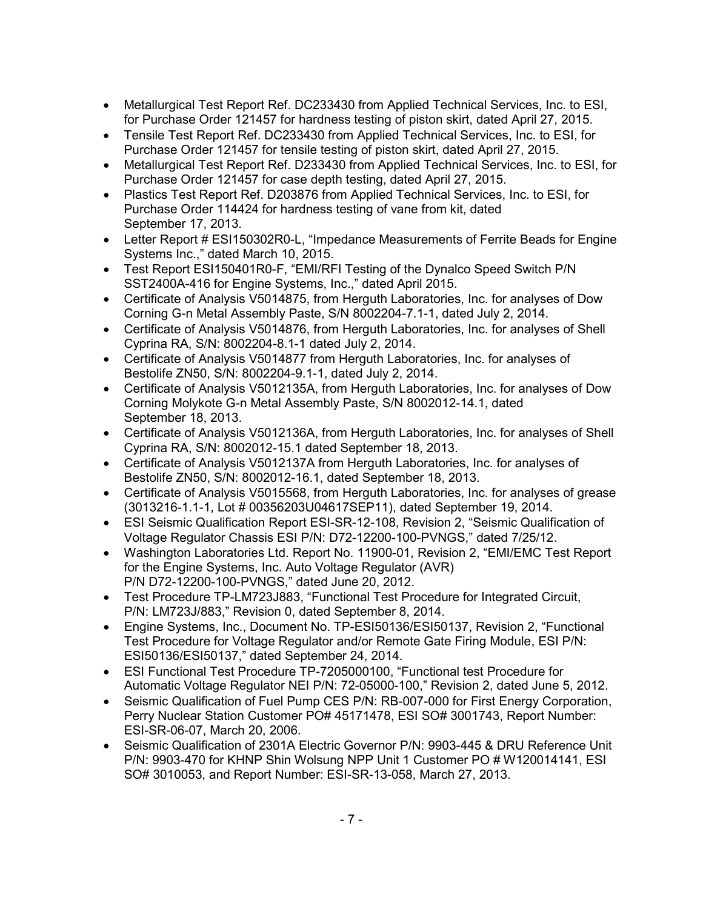- Metallurgical Test Report Ref. DC233430 from Applied Technical Services, Inc. to ESI, for Purchase Order 121457 for hardness testing of piston skirt, dated April 27, 2015.
- Tensile Test Report Ref. DC233430 from Applied Technical Services, Inc. to ESI, for Purchase Order 121457 for tensile testing of piston skirt, dated April 27, 2015.
- Metallurgical Test Report Ref. D233430 from Applied Technical Services, Inc. to ESI, for Purchase Order 121457 for case depth testing, dated April 27, 2015.
- Plastics Test Report Ref. D203876 from Applied Technical Services, Inc. to ESI, for Purchase Order 114424 for hardness testing of vane from kit, dated September 17, 2013.
- Letter Report # ESI150302R0-L, "Impedance Measurements of Ferrite Beads for Engine Systems Inc.," dated March 10, 2015.
- Test Report ESI150401R0-F, "EMI/RFI Testing of the Dynalco Speed Switch P/N SST2400A-416 for Engine Systems, Inc.," dated April 2015.
- Certificate of Analysis V5014875, from Herguth Laboratories, Inc. for analyses of Dow Corning G-n Metal Assembly Paste, S/N 8002204-7.1-1, dated July 2, 2014.
- Certificate of Analysis V5014876, from Herguth Laboratories, Inc. for analyses of Shell Cyprina RA, S/N: 8002204-8.1-1 dated July 2, 2014.
- Certificate of Analysis V5014877 from Herguth Laboratories, Inc. for analyses of Bestolife ZN50, S/N: 8002204-9.1-1, dated July 2, 2014.
- Certificate of Analysis V5012135A, from Herguth Laboratories, Inc. for analyses of Dow Corning Molykote G-n Metal Assembly Paste, S/N 8002012-14.1, dated September 18, 2013.
- Certificate of Analysis V5012136A, from Herguth Laboratories, Inc. for analyses of Shell Cyprina RA, S/N: 8002012-15.1 dated September 18, 2013.
- Certificate of Analysis V5012137A from Herguth Laboratories, Inc. for analyses of Bestolife ZN50, S/N: 8002012-16.1, dated September 18, 2013.
- Certificate of Analysis V5015568, from Herguth Laboratories, Inc. for analyses of grease (3013216-1.1-1, Lot # 00356203U04617SEP11), dated September 19, 2014.
- ESI Seismic Qualification Report ESI-SR-12-108, Revision 2, "Seismic Qualification of Voltage Regulator Chassis ESI P/N: D72-12200-100-PVNGS," dated 7/25/12.
- Washington Laboratories Ltd. Report No. 11900-01, Revision 2, "EMI/EMC Test Report for the Engine Systems, Inc. Auto Voltage Regulator (AVR) P/N D72-12200-100-PVNGS," dated June 20, 2012.
- Test Procedure TP-LM723J883, "Functional Test Procedure for Integrated Circuit, P/N: LM723J/883," Revision 0, dated September 8, 2014.
- Engine Systems, Inc., Document No. TP-ESI50136/ESI50137, Revision 2, "Functional Test Procedure for Voltage Regulator and/or Remote Gate Firing Module, ESI P/N: ESI50136/ESI50137," dated September 24, 2014.
- ESI Functional Test Procedure TP-7205000100, "Functional test Procedure for Automatic Voltage Regulator NEI P/N: 72-05000-100," Revision 2, dated June 5, 2012.
- Seismic Qualification of Fuel Pump CES P/N: RB-007-000 for First Energy Corporation, Perry Nuclear Station Customer PO# 45171478, ESI SO# 3001743, Report Number: ESI-SR-06-07, March 20, 2006.
- Seismic Qualification of 2301A Electric Governor P/N: 9903-445 & DRU Reference Unit P/N: 9903-470 for KHNP Shin Wolsung NPP Unit 1 Customer PO # W120014141, ESI SO# 3010053, and Report Number: ESI-SR-13-058, March 27, 2013.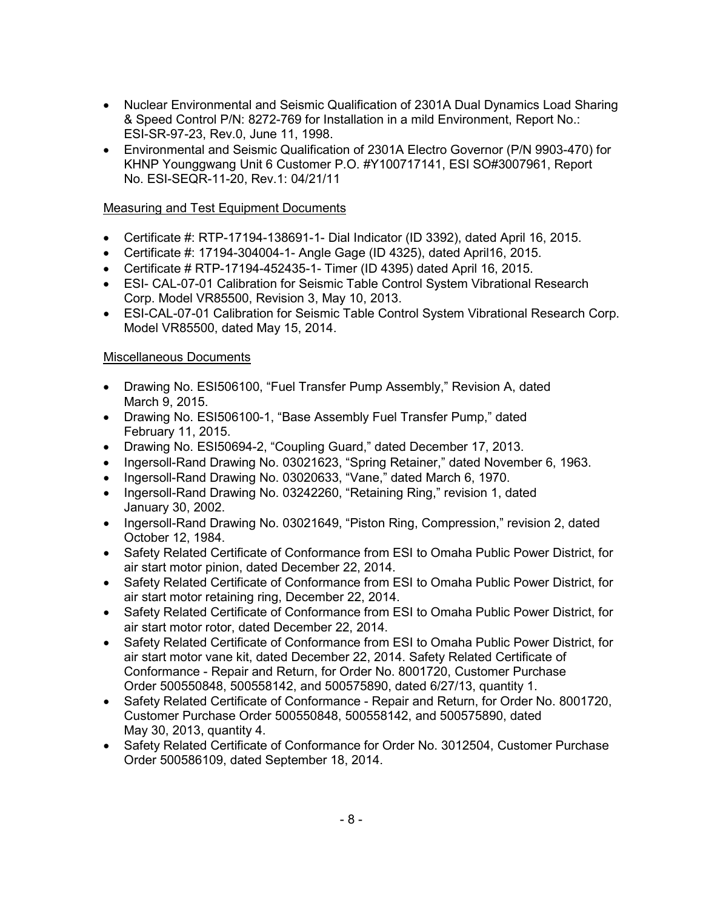- Nuclear Environmental and Seismic Qualification of 2301A Dual Dynamics Load Sharing & Speed Control P/N: 8272-769 for Installation in a mild Environment, Report No.: ESI-SR-97-23, Rev.0, June 11, 1998.
- Environmental and Seismic Qualification of 2301A Electro Governor (P/N 9903-470) for KHNP Younggwang Unit 6 Customer P.O. #Y100717141, ESI SO#3007961, Report No. ESI-SEQR-11-20, Rev.1: 04/21/11

# Measuring and Test Equipment Documents

- Certificate #: RTP-17194-138691-1- Dial Indicator (ID 3392), dated April 16, 2015.
- Certificate #: 17194-304004-1- Angle Gage (ID 4325), dated April16, 2015.
- Certificate # RTP-17194-452435-1- Timer (ID 4395) dated April 16, 2015.
- ESI- CAL-07-01 Calibration for Seismic Table Control System Vibrational Research Corp. Model VR85500, Revision 3, May 10, 2013.
- ESI-CAL-07-01 Calibration for Seismic Table Control System Vibrational Research Corp. Model VR85500, dated May 15, 2014.

# Miscellaneous Documents

- Drawing No. ESI506100, "Fuel Transfer Pump Assembly," Revision A, dated March 9, 2015.
- Drawing No. ESI506100-1, "Base Assembly Fuel Transfer Pump," dated February 11, 2015.
- Drawing No. ESI50694-2, "Coupling Guard," dated December 17, 2013.
- Ingersoll-Rand Drawing No. 03021623, "Spring Retainer," dated November 6, 1963.
- Ingersoll-Rand Drawing No. 03020633, "Vane," dated March 6, 1970.
- Ingersoll-Rand Drawing No. 03242260, "Retaining Ring," revision 1, dated January 30, 2002.
- Ingersoll-Rand Drawing No. 03021649, "Piston Ring, Compression," revision 2, dated October 12, 1984.
- Safety Related Certificate of Conformance from ESI to Omaha Public Power District, for air start motor pinion, dated December 22, 2014.
- Safety Related Certificate of Conformance from ESI to Omaha Public Power District, for air start motor retaining ring, December 22, 2014.
- Safety Related Certificate of Conformance from ESI to Omaha Public Power District, for air start motor rotor, dated December 22, 2014.
- Safety Related Certificate of Conformance from ESI to Omaha Public Power District, for air start motor vane kit, dated December 22, 2014. Safety Related Certificate of Conformance - Repair and Return, for Order No. 8001720, Customer Purchase Order 500550848, 500558142, and 500575890, dated 6/27/13, quantity 1.
- Safety Related Certificate of Conformance Repair and Return, for Order No. 8001720, Customer Purchase Order 500550848, 500558142, and 500575890, dated May 30, 2013, quantity 4.
- Safety Related Certificate of Conformance for Order No. 3012504, Customer Purchase Order 500586109, dated September 18, 2014.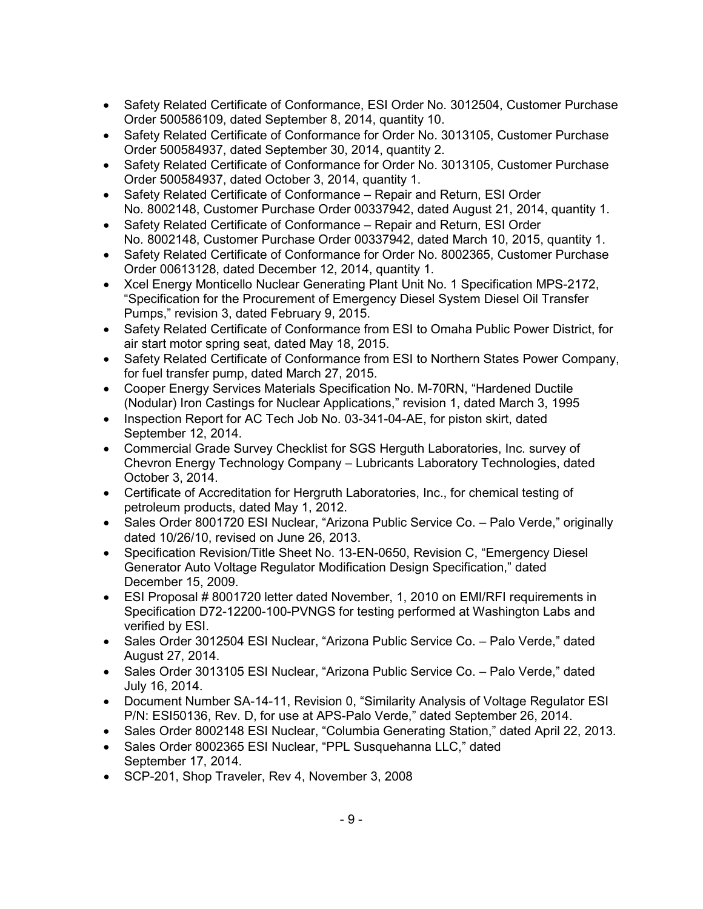- Safety Related Certificate of Conformance, ESI Order No. 3012504, Customer Purchase Order 500586109, dated September 8, 2014, quantity 10.
- Safety Related Certificate of Conformance for Order No. 3013105, Customer Purchase Order 500584937, dated September 30, 2014, quantity 2.
- Safety Related Certificate of Conformance for Order No. 3013105, Customer Purchase Order 500584937, dated October 3, 2014, quantity 1.
- Safety Related Certificate of Conformance Repair and Return, ESI Order No. 8002148, Customer Purchase Order 00337942, dated August 21, 2014, quantity 1.
- Safety Related Certificate of Conformance Repair and Return, ESI Order No. 8002148, Customer Purchase Order 00337942, dated March 10, 2015, quantity 1.
- Safety Related Certificate of Conformance for Order No. 8002365, Customer Purchase Order 00613128, dated December 12, 2014, quantity 1.
- Xcel Energy Monticello Nuclear Generating Plant Unit No. 1 Specification MPS-2172, "Specification for the Procurement of Emergency Diesel System Diesel Oil Transfer Pumps," revision 3, dated February 9, 2015.
- Safety Related Certificate of Conformance from ESI to Omaha Public Power District, for air start motor spring seat, dated May 18, 2015.
- Safety Related Certificate of Conformance from ESI to Northern States Power Company, for fuel transfer pump, dated March 27, 2015.
- Cooper Energy Services Materials Specification No. M-70RN, "Hardened Ductile (Nodular) Iron Castings for Nuclear Applications," revision 1, dated March 3, 1995
- Inspection Report for AC Tech Job No. 03-341-04-AE, for piston skirt, dated September 12, 2014.
- Commercial Grade Survey Checklist for SGS Herguth Laboratories, Inc. survey of Chevron Energy Technology Company – Lubricants Laboratory Technologies, dated October 3, 2014.
- Certificate of Accreditation for Hergruth Laboratories, Inc., for chemical testing of petroleum products, dated May 1, 2012.
- Sales Order 8001720 ESI Nuclear, "Arizona Public Service Co. Palo Verde," originally dated 10/26/10, revised on June 26, 2013.
- Specification Revision/Title Sheet No. 13-EN-0650, Revision C, "Emergency Diesel Generator Auto Voltage Regulator Modification Design Specification," dated December 15, 2009.
- ESI Proposal # 8001720 letter dated November, 1, 2010 on EMI/RFI requirements in Specification D72-12200-100-PVNGS for testing performed at Washington Labs and verified by ESI.
- Sales Order 3012504 ESI Nuclear, "Arizona Public Service Co. Palo Verde," dated August 27, 2014.
- Sales Order 3013105 ESI Nuclear, "Arizona Public Service Co. Palo Verde," dated July 16, 2014.
- Document Number SA-14-11, Revision 0, "Similarity Analysis of Voltage Regulator ESI P/N: ESI50136, Rev. D, for use at APS-Palo Verde," dated September 26, 2014.
- Sales Order 8002148 ESI Nuclear, "Columbia Generating Station," dated April 22, 2013.
- Sales Order 8002365 ESI Nuclear, "PPL Susquehanna LLC," dated September 17, 2014.
- SCP-201, Shop Traveler, Rev 4, November 3, 2008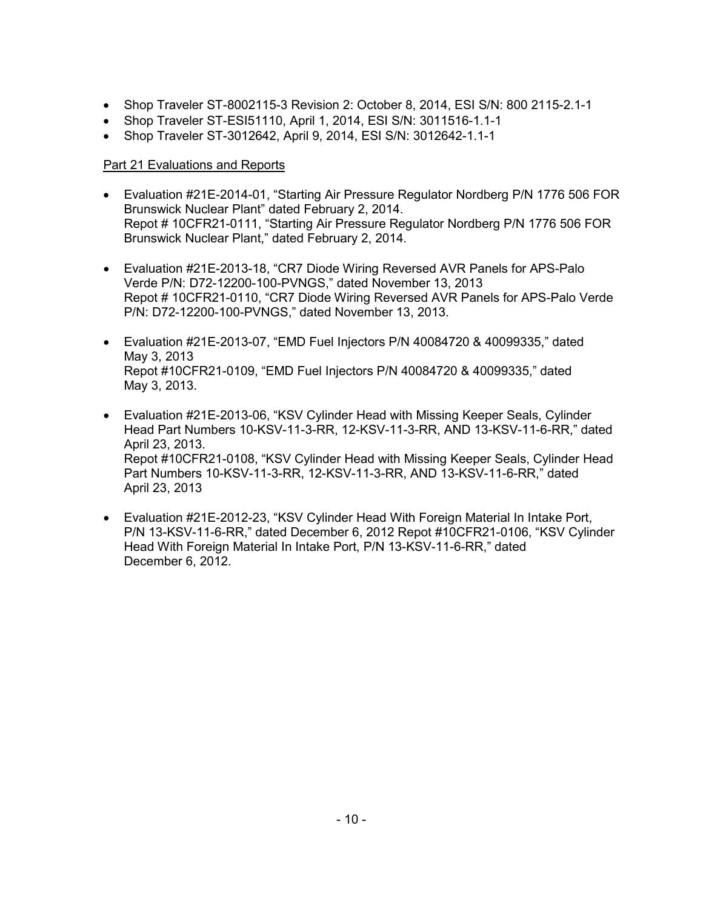- Shop Traveler ST-8002115-3 Revision 2: October 8, 2014, ESI S/N: 800 2115-2.1-1
- Shop Traveler ST-ESI51110, April 1, 2014, ESI S/N: 3011516-1.1-1
- Shop Traveler ST-3012642, April 9, 2014, ESI S/N: 3012642-1.1-1

# Part 21 Evaluations and Reports

- Evaluation #21E-2014-01, "Starting Air Pressure Regulator Nordberg P/N 1776 506 FOR Brunswick Nuclear Plant" dated February 2, 2014. Repot # 10CFR21-0111, "Starting Air Pressure Regulator Nordberg P/N 1776 506 FOR Brunswick Nuclear Plant," dated February 2, 2014.
- Evaluation #21E-2013-18, "CR7 Diode Wiring Reversed AVR Panels for APS-Palo Verde P/N: D72-12200-100-PVNGS," dated November 13, 2013 Repot # 10CFR21-0110, "CR7 Diode Wiring Reversed AVR Panels for APS-Palo Verde P/N: D72-12200-100-PVNGS," dated November 13, 2013.
- Evaluation #21E-2013-07, "EMD Fuel Injectors P/N 40084720 & 40099335," dated May 3, 2013 Repot #10CFR21-0109, "EMD Fuel Injectors P/N 40084720 & 40099335," dated May 3, 2013.
- Evaluation #21E-2013-06, "KSV Cylinder Head with Missing Keeper Seals, Cylinder Head Part Numbers 10-KSV-11-3-RR, 12-KSV-11-3-RR, AND 13-KSV-11-6-RR," dated April 23, 2013. Repot #10CFR21-0108, "KSV Cylinder Head with Missing Keeper Seals, Cylinder Head Part Numbers 10-KSV-11-3-RR, 12-KSV-11-3-RR, AND 13-KSV-11-6-RR," dated April 23, 2013
- Evaluation #21E-2012-23, "KSV Cylinder Head With Foreign Material In Intake Port, P/N 13-KSV-11-6-RR," dated December 6, 2012 Repot #10CFR21-0106, "KSV Cylinder Head With Foreign Material In Intake Port, P/N 13-KSV-11-6-RR," dated December 6, 2012.